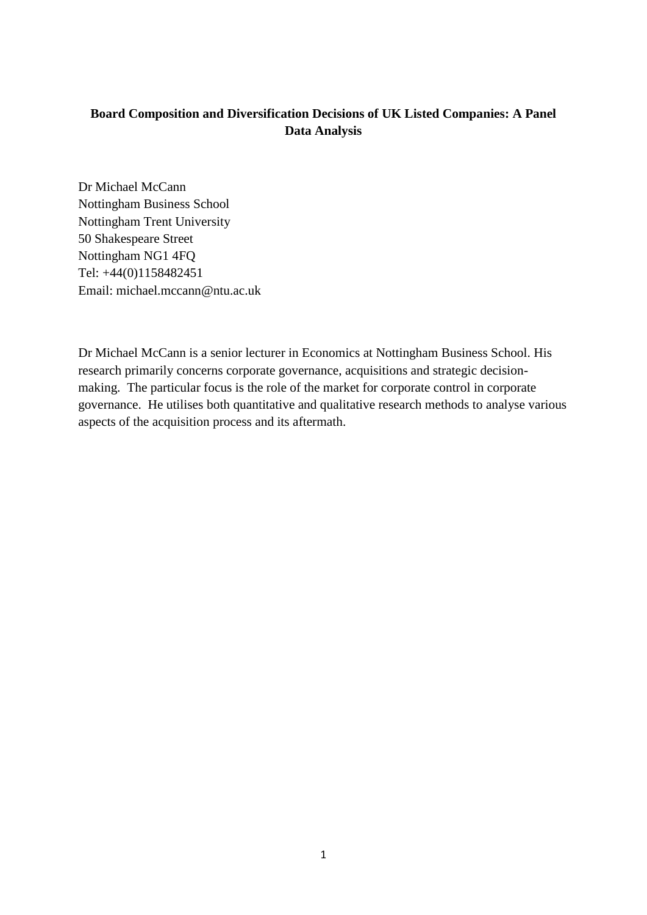# **Board Composition and Diversification Decisions of UK Listed Companies: A Panel Data Analysis**

Dr Michael McCann Nottingham Business School Nottingham Trent University 50 Shakespeare Street Nottingham NG1 4FQ Tel: +44(0)1158482451 Email: michael.mccann@ntu.ac.uk

Dr Michael McCann is a senior lecturer in Economics at Nottingham Business School. His research primarily concerns corporate governance, acquisitions and strategic decisionmaking. The particular focus is the role of the market for corporate control in corporate governance. He utilises both quantitative and qualitative research methods to analyse various aspects of the acquisition process and its aftermath.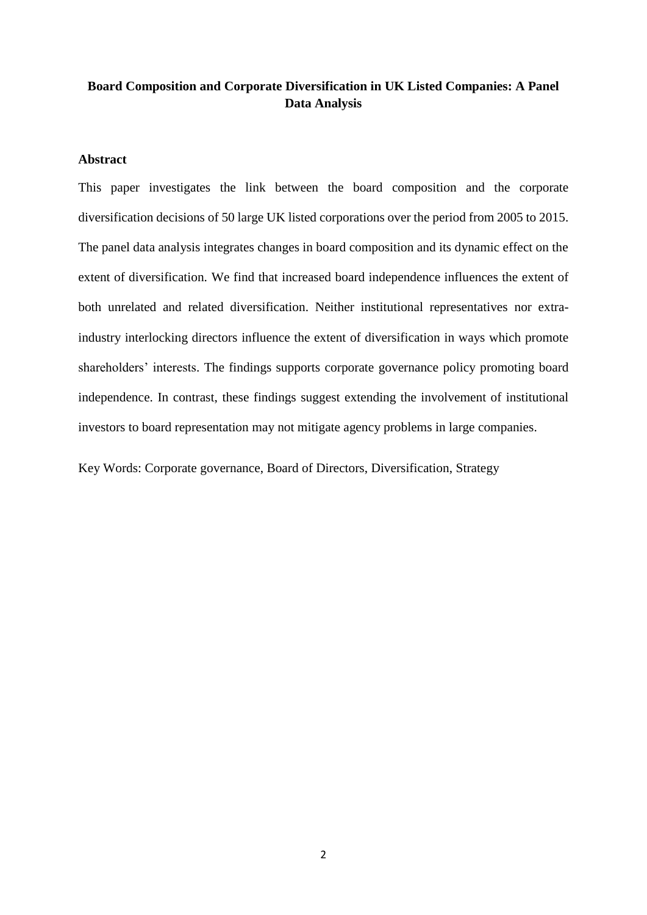# **Board Composition and Corporate Diversification in UK Listed Companies: A Panel Data Analysis**

# **Abstract**

This paper investigates the link between the board composition and the corporate diversification decisions of 50 large UK listed corporations over the period from 2005 to 2015. The panel data analysis integrates changes in board composition and its dynamic effect on the extent of diversification. We find that increased board independence influences the extent of both unrelated and related diversification. Neither institutional representatives nor extraindustry interlocking directors influence the extent of diversification in ways which promote shareholders' interests. The findings supports corporate governance policy promoting board independence. In contrast, these findings suggest extending the involvement of institutional investors to board representation may not mitigate agency problems in large companies.

Key Words: Corporate governance, Board of Directors, Diversification, Strategy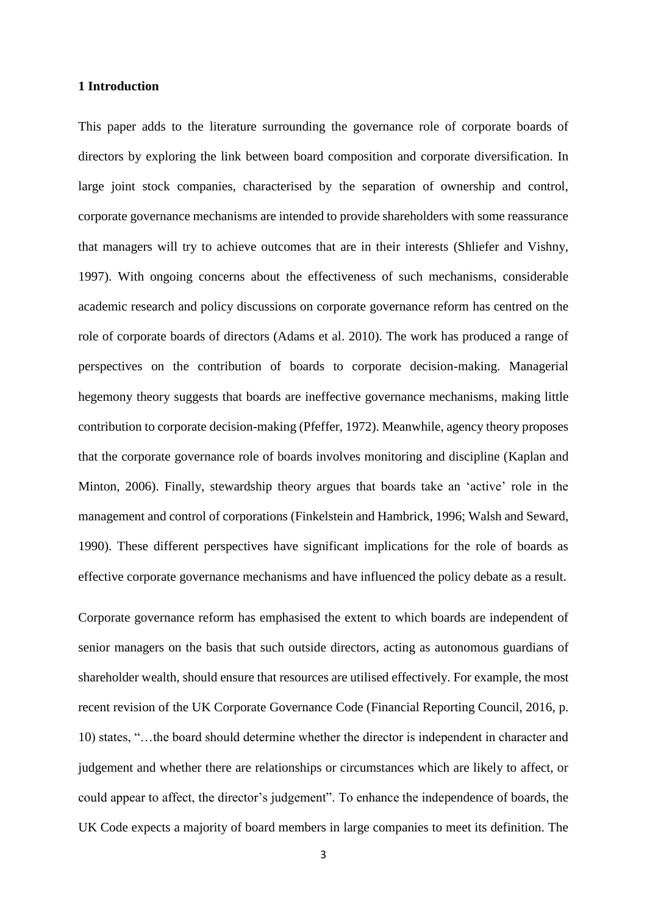### **1 Introduction**

This paper adds to the literature surrounding the governance role of corporate boards of directors by exploring the link between board composition and corporate diversification. In large joint stock companies, characterised by the separation of ownership and control, corporate governance mechanisms are intended to provide shareholders with some reassurance that managers will try to achieve outcomes that are in their interests (Shliefer and Vishny, 1997). With ongoing concerns about the effectiveness of such mechanisms, considerable academic research and policy discussions on corporate governance reform has centred on the role of corporate boards of directors (Adams et al. 2010). The work has produced a range of perspectives on the contribution of boards to corporate decision-making. Managerial hegemony theory suggests that boards are ineffective governance mechanisms, making little contribution to corporate decision-making (Pfeffer, 1972). Meanwhile, agency theory proposes that the corporate governance role of boards involves monitoring and discipline (Kaplan and Minton, 2006). Finally, stewardship theory argues that boards take an 'active' role in the management and control of corporations (Finkelstein and Hambrick, 1996; Walsh and Seward, 1990). These different perspectives have significant implications for the role of boards as effective corporate governance mechanisms and have influenced the policy debate as a result.

Corporate governance reform has emphasised the extent to which boards are independent of senior managers on the basis that such outside directors, acting as autonomous guardians of shareholder wealth, should ensure that resources are utilised effectively. For example, the most recent revision of the UK Corporate Governance Code (Financial Reporting Council, 2016, p. 10) states, "…the board should determine whether the director is independent in character and judgement and whether there are relationships or circumstances which are likely to affect, or could appear to affect, the director's judgement". To enhance the independence of boards, the UK Code expects a majority of board members in large companies to meet its definition. The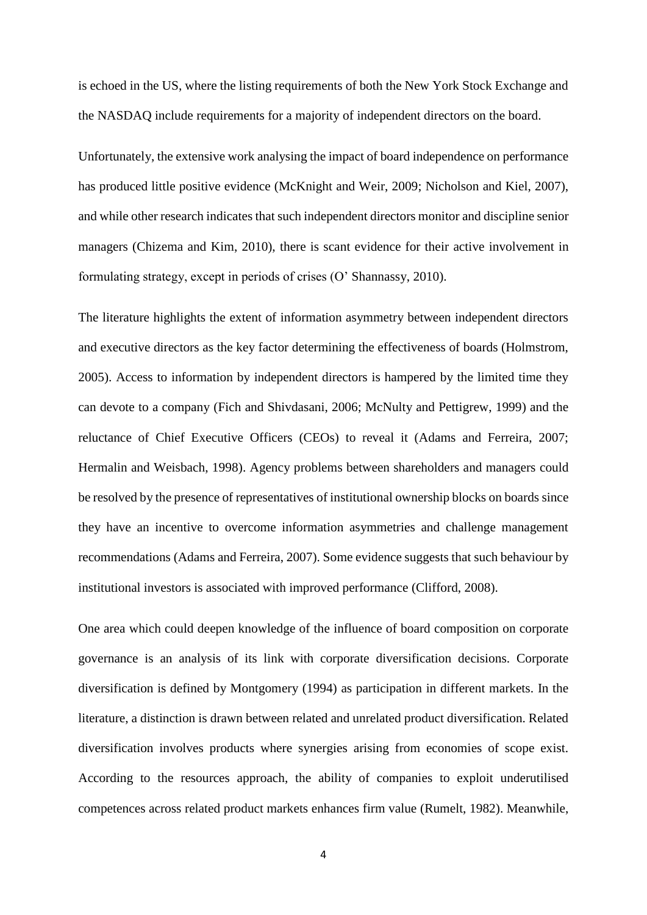is echoed in the US, where the listing requirements of both the New York Stock Exchange and the NASDAQ include requirements for a majority of independent directors on the board.

Unfortunately, the extensive work analysing the impact of board independence on performance has produced little positive evidence (McKnight and Weir, 2009; Nicholson and Kiel, 2007), and while other research indicates that such independent directors monitor and discipline senior managers (Chizema and Kim, 2010), there is scant evidence for their active involvement in formulating strategy, except in periods of crises (O' Shannassy, 2010).

The literature highlights the extent of information asymmetry between independent directors and executive directors as the key factor determining the effectiveness of boards (Holmstrom, 2005). Access to information by independent directors is hampered by the limited time they can devote to a company (Fich and Shivdasani, 2006; McNulty and Pettigrew, 1999) and the reluctance of Chief Executive Officers (CEOs) to reveal it (Adams and Ferreira, 2007; Hermalin and Weisbach, 1998). Agency problems between shareholders and managers could be resolved by the presence of representatives of institutional ownership blocks on boards since they have an incentive to overcome information asymmetries and challenge management recommendations (Adams and Ferreira, 2007). Some evidence suggests that such behaviour by institutional investors is associated with improved performance (Clifford, 2008).

One area which could deepen knowledge of the influence of board composition on corporate governance is an analysis of its link with corporate diversification decisions. Corporate diversification is defined by Montgomery (1994) as participation in different markets. In the literature, a distinction is drawn between related and unrelated product diversification. Related diversification involves products where synergies arising from economies of scope exist. According to the resources approach, the ability of companies to exploit underutilised competences across related product markets enhances firm value (Rumelt, 1982). Meanwhile,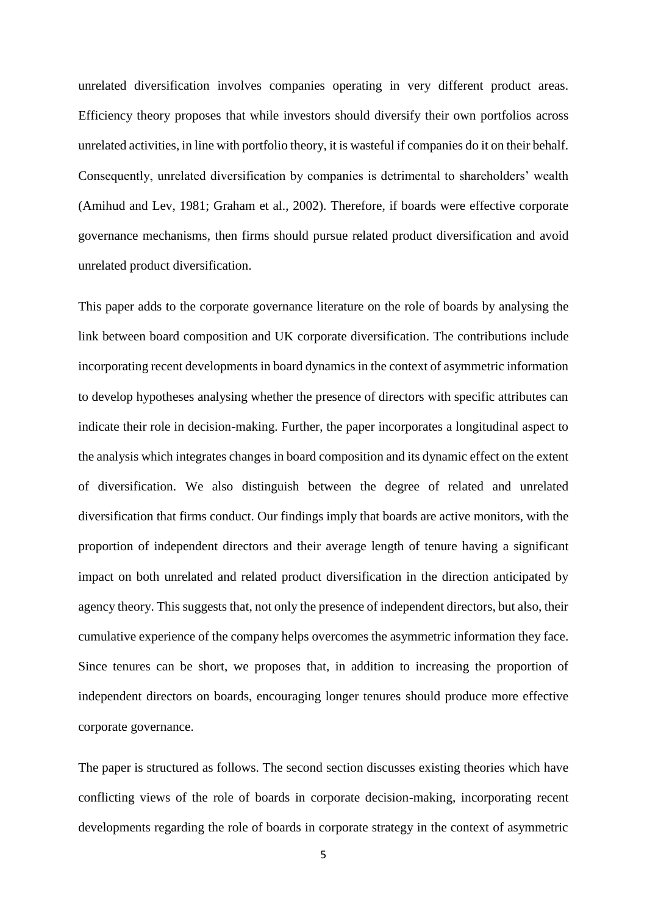unrelated diversification involves companies operating in very different product areas. Efficiency theory proposes that while investors should diversify their own portfolios across unrelated activities, in line with portfolio theory, it is wasteful if companies do it on their behalf. Consequently, unrelated diversification by companies is detrimental to shareholders' wealth (Amihud and Lev, 1981; Graham et al., 2002). Therefore, if boards were effective corporate governance mechanisms, then firms should pursue related product diversification and avoid unrelated product diversification.

This paper adds to the corporate governance literature on the role of boards by analysing the link between board composition and UK corporate diversification. The contributions include incorporating recent developments in board dynamics in the context of asymmetric information to develop hypotheses analysing whether the presence of directors with specific attributes can indicate their role in decision-making. Further, the paper incorporates a longitudinal aspect to the analysis which integrates changes in board composition and its dynamic effect on the extent of diversification. We also distinguish between the degree of related and unrelated diversification that firms conduct. Our findings imply that boards are active monitors, with the proportion of independent directors and their average length of tenure having a significant impact on both unrelated and related product diversification in the direction anticipated by agency theory. This suggests that, not only the presence of independent directors, but also, their cumulative experience of the company helps overcomes the asymmetric information they face. Since tenures can be short, we proposes that, in addition to increasing the proportion of independent directors on boards, encouraging longer tenures should produce more effective corporate governance.

The paper is structured as follows. The second section discusses existing theories which have conflicting views of the role of boards in corporate decision-making, incorporating recent developments regarding the role of boards in corporate strategy in the context of asymmetric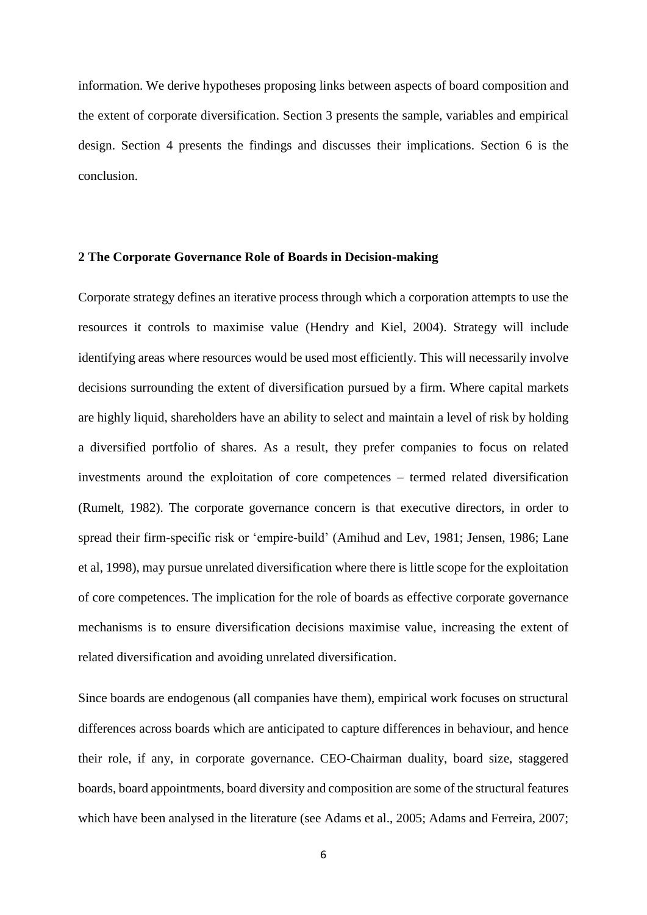information. We derive hypotheses proposing links between aspects of board composition and the extent of corporate diversification. Section 3 presents the sample, variables and empirical design. Section 4 presents the findings and discusses their implications. Section 6 is the conclusion.

# **2 The Corporate Governance Role of Boards in Decision-making**

Corporate strategy defines an iterative process through which a corporation attempts to use the resources it controls to maximise value (Hendry and Kiel, 2004). Strategy will include identifying areas where resources would be used most efficiently. This will necessarily involve decisions surrounding the extent of diversification pursued by a firm. Where capital markets are highly liquid, shareholders have an ability to select and maintain a level of risk by holding a diversified portfolio of shares. As a result, they prefer companies to focus on related investments around the exploitation of core competences – termed related diversification (Rumelt, 1982). The corporate governance concern is that executive directors, in order to spread their firm-specific risk or 'empire-build' (Amihud and Lev, 1981; Jensen, 1986; Lane et al, 1998), may pursue unrelated diversification where there is little scope for the exploitation of core competences. The implication for the role of boards as effective corporate governance mechanisms is to ensure diversification decisions maximise value, increasing the extent of related diversification and avoiding unrelated diversification.

Since boards are endogenous (all companies have them), empirical work focuses on structural differences across boards which are anticipated to capture differences in behaviour, and hence their role, if any, in corporate governance. CEO-Chairman duality, board size, staggered boards, board appointments, board diversity and composition are some of the structural features which have been analysed in the literature (see Adams et al., 2005; Adams and Ferreira, 2007;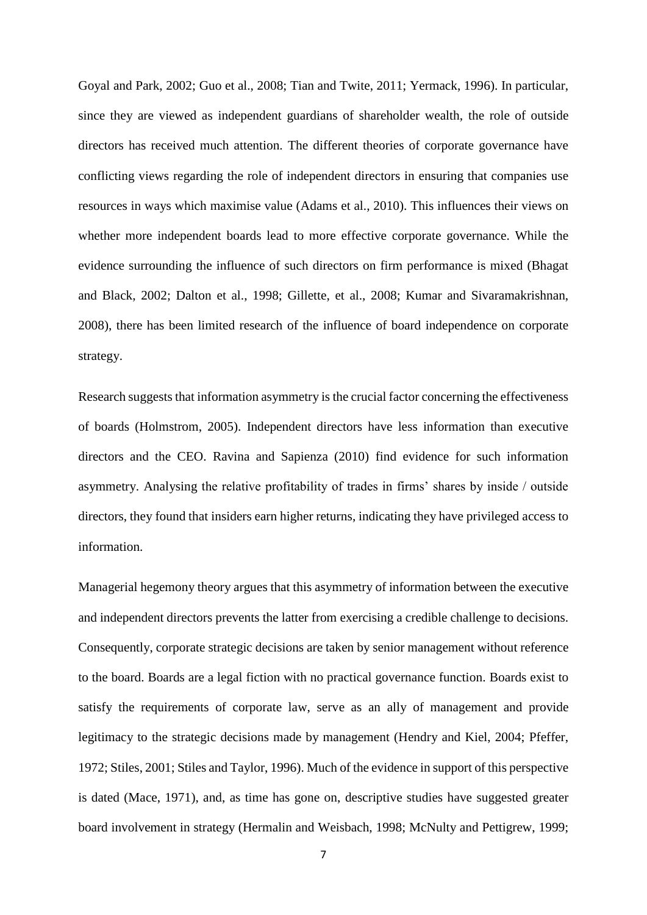Goyal and Park, 2002; Guo et al., 2008; Tian and Twite, 2011; Yermack, 1996). In particular, since they are viewed as independent guardians of shareholder wealth, the role of outside directors has received much attention. The different theories of corporate governance have conflicting views regarding the role of independent directors in ensuring that companies use resources in ways which maximise value (Adams et al., 2010). This influences their views on whether more independent boards lead to more effective corporate governance. While the evidence surrounding the influence of such directors on firm performance is mixed (Bhagat and Black, 2002; Dalton et al., 1998; Gillette, et al., 2008; Kumar and Sivaramakrishnan, 2008), there has been limited research of the influence of board independence on corporate strategy.

Research suggests that information asymmetry is the crucial factor concerning the effectiveness of boards (Holmstrom, 2005). Independent directors have less information than executive directors and the CEO. Ravina and Sapienza (2010) find evidence for such information asymmetry. Analysing the relative profitability of trades in firms' shares by inside / outside directors, they found that insiders earn higher returns, indicating they have privileged access to information.

Managerial hegemony theory argues that this asymmetry of information between the executive and independent directors prevents the latter from exercising a credible challenge to decisions. Consequently, corporate strategic decisions are taken by senior management without reference to the board. Boards are a legal fiction with no practical governance function. Boards exist to satisfy the requirements of corporate law, serve as an ally of management and provide legitimacy to the strategic decisions made by management (Hendry and Kiel, 2004; Pfeffer, 1972; Stiles, 2001; Stiles and Taylor, 1996). Much of the evidence in support of this perspective is dated (Mace, 1971), and, as time has gone on, descriptive studies have suggested greater board involvement in strategy (Hermalin and Weisbach, 1998; McNulty and Pettigrew, 1999;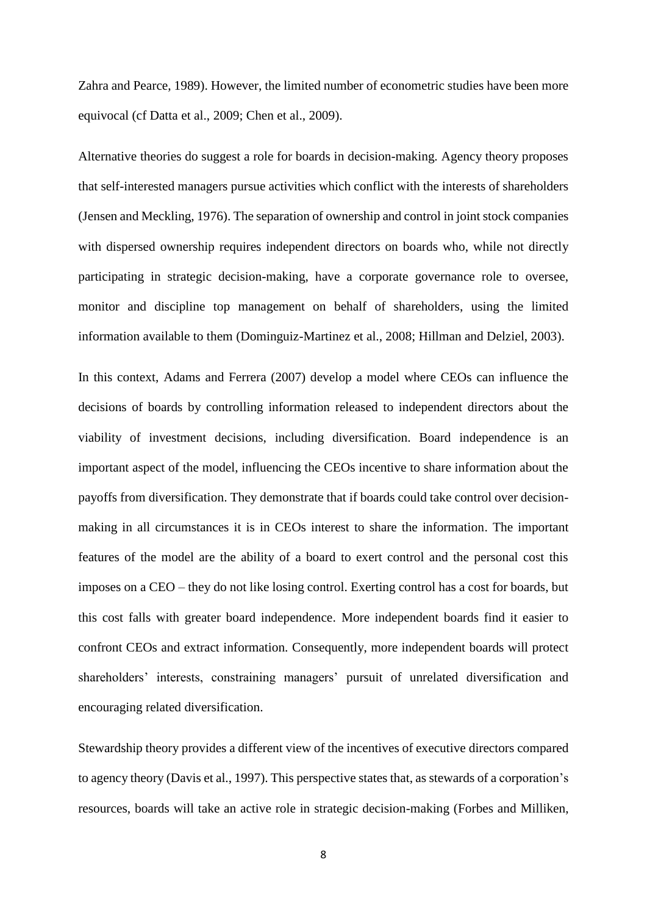Zahra and Pearce, 1989). However, the limited number of econometric studies have been more equivocal (cf Datta et al., 2009; Chen et al., 2009).

Alternative theories do suggest a role for boards in decision-making. Agency theory proposes that self-interested managers pursue activities which conflict with the interests of shareholders (Jensen and Meckling, 1976). The separation of ownership and control in joint stock companies with dispersed ownership requires independent directors on boards who, while not directly participating in strategic decision-making, have a corporate governance role to oversee, monitor and discipline top management on behalf of shareholders, using the limited information available to them (Dominguiz-Martinez et al., 2008; Hillman and Delziel, 2003).

In this context, Adams and Ferrera (2007) develop a model where CEOs can influence the decisions of boards by controlling information released to independent directors about the viability of investment decisions, including diversification. Board independence is an important aspect of the model, influencing the CEOs incentive to share information about the payoffs from diversification. They demonstrate that if boards could take control over decisionmaking in all circumstances it is in CEOs interest to share the information. The important features of the model are the ability of a board to exert control and the personal cost this imposes on a CEO – they do not like losing control. Exerting control has a cost for boards, but this cost falls with greater board independence. More independent boards find it easier to confront CEOs and extract information. Consequently, more independent boards will protect shareholders' interests, constraining managers' pursuit of unrelated diversification and encouraging related diversification.

Stewardship theory provides a different view of the incentives of executive directors compared to agency theory (Davis et al., 1997). This perspective states that, as stewards of a corporation's resources, boards will take an active role in strategic decision-making (Forbes and Milliken,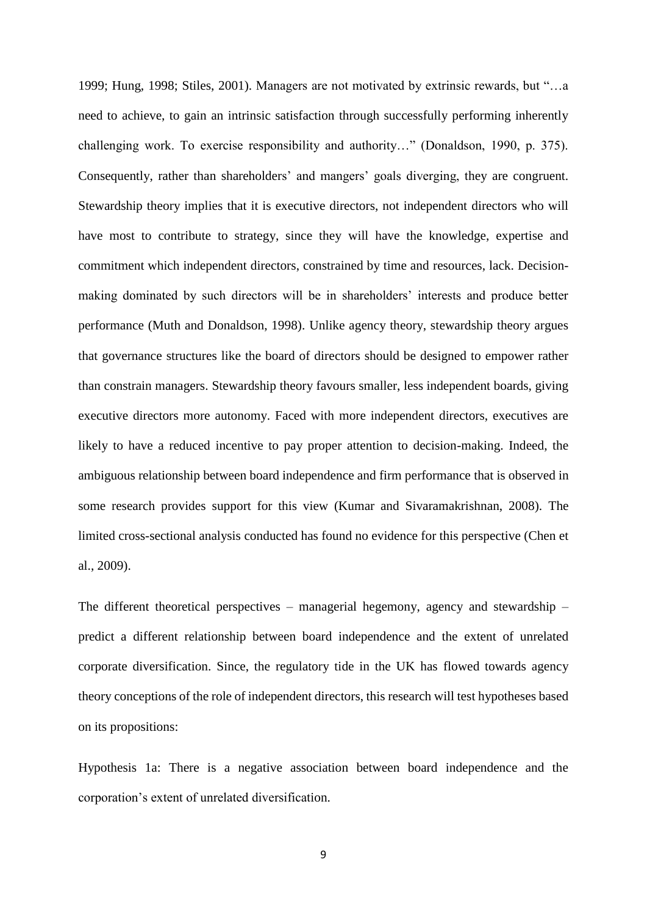1999; Hung, 1998; Stiles, 2001). Managers are not motivated by extrinsic rewards, but "…a need to achieve, to gain an intrinsic satisfaction through successfully performing inherently challenging work. To exercise responsibility and authority…" (Donaldson, 1990, p. 375). Consequently, rather than shareholders' and mangers' goals diverging, they are congruent. Stewardship theory implies that it is executive directors, not independent directors who will have most to contribute to strategy, since they will have the knowledge, expertise and commitment which independent directors, constrained by time and resources, lack. Decisionmaking dominated by such directors will be in shareholders' interests and produce better performance (Muth and Donaldson, 1998). Unlike agency theory, stewardship theory argues that governance structures like the board of directors should be designed to empower rather than constrain managers. Stewardship theory favours smaller, less independent boards, giving executive directors more autonomy. Faced with more independent directors, executives are likely to have a reduced incentive to pay proper attention to decision-making. Indeed, the ambiguous relationship between board independence and firm performance that is observed in some research provides support for this view (Kumar and Sivaramakrishnan, 2008). The limited cross-sectional analysis conducted has found no evidence for this perspective (Chen et al., 2009).

The different theoretical perspectives – managerial hegemony, agency and stewardship – predict a different relationship between board independence and the extent of unrelated corporate diversification. Since, the regulatory tide in the UK has flowed towards agency theory conceptions of the role of independent directors, this research will test hypotheses based on its propositions:

Hypothesis 1a: There is a negative association between board independence and the corporation's extent of unrelated diversification.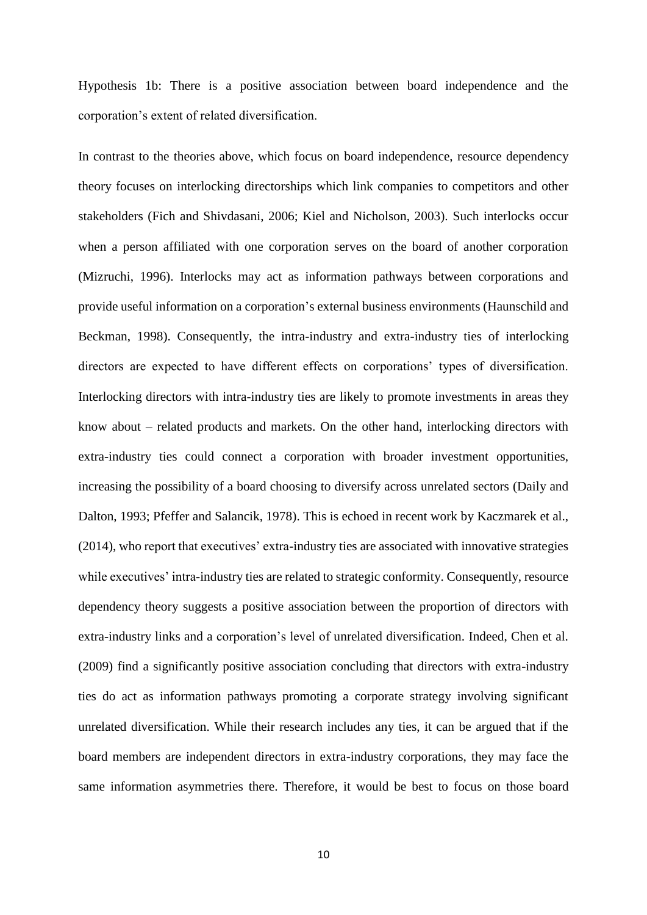Hypothesis 1b: There is a positive association between board independence and the corporation's extent of related diversification.

In contrast to the theories above, which focus on board independence, resource dependency theory focuses on interlocking directorships which link companies to competitors and other stakeholders (Fich and Shivdasani, 2006; Kiel and Nicholson, 2003). Such interlocks occur when a person affiliated with one corporation serves on the board of another corporation (Mizruchi, 1996). Interlocks may act as information pathways between corporations and provide useful information on a corporation's external business environments (Haunschild and Beckman, 1998). Consequently, the intra-industry and extra-industry ties of interlocking directors are expected to have different effects on corporations' types of diversification. Interlocking directors with intra-industry ties are likely to promote investments in areas they know about – related products and markets. On the other hand, interlocking directors with extra-industry ties could connect a corporation with broader investment opportunities, increasing the possibility of a board choosing to diversify across unrelated sectors (Daily and Dalton, 1993; Pfeffer and Salancik, 1978). This is echoed in recent work by [Kaczmarek](javascript:__doLinkPostBack() et al., (2014), who report that executives' extra-industry ties are associated with innovative strategies while executives' intra-industry ties are related to strategic conformity. Consequently, resource dependency theory suggests a positive association between the proportion of directors with extra-industry links and a corporation's level of unrelated diversification. Indeed, Chen et al. (2009) find a significantly positive association concluding that directors with extra-industry ties do act as information pathways promoting a corporate strategy involving significant unrelated diversification. While their research includes any ties, it can be argued that if the board members are independent directors in extra-industry corporations, they may face the same information asymmetries there. Therefore, it would be best to focus on those board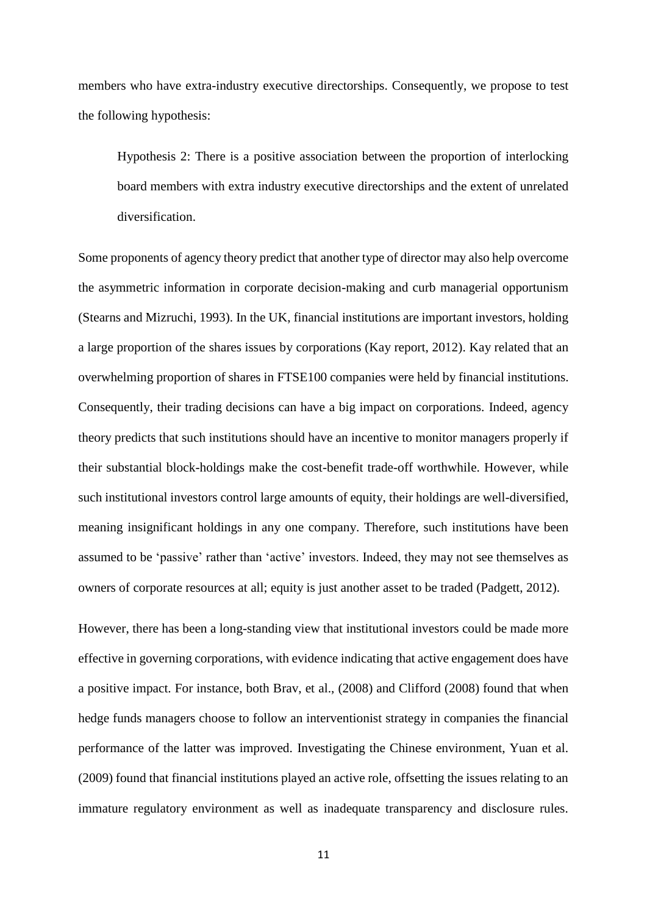members who have extra-industry executive directorships. Consequently, we propose to test the following hypothesis:

Hypothesis 2: There is a positive association between the proportion of interlocking board members with extra industry executive directorships and the extent of unrelated diversification.

Some proponents of agency theory predict that another type of director may also help overcome the asymmetric information in corporate decision-making and curb managerial opportunism (Stearns and Mizruchi, 1993). In the UK, financial institutions are important investors, holding a large proportion of the shares issues by corporations (Kay report, 2012). Kay related that an overwhelming proportion of shares in FTSE100 companies were held by financial institutions. Consequently, their trading decisions can have a big impact on corporations. Indeed, agency theory predicts that such institutions should have an incentive to monitor managers properly if their substantial block-holdings make the cost-benefit trade-off worthwhile. However, while such institutional investors control large amounts of equity, their holdings are well-diversified, meaning insignificant holdings in any one company. Therefore, such institutions have been assumed to be 'passive' rather than 'active' investors. Indeed, they may not see themselves as owners of corporate resources at all; equity is just another asset to be traded (Padgett, 2012).

However, there has been a long-standing view that institutional investors could be made more effective in governing corporations, with evidence indicating that active engagement does have a positive impact. For instance, both Brav, et al., (2008) and Clifford (2008) found that when hedge funds managers choose to follow an interventionist strategy in companies the financial performance of the latter was improved. Investigating the Chinese environment, Yuan et al. (2009) found that financial institutions played an active role, offsetting the issues relating to an immature regulatory environment as well as inadequate transparency and disclosure rules.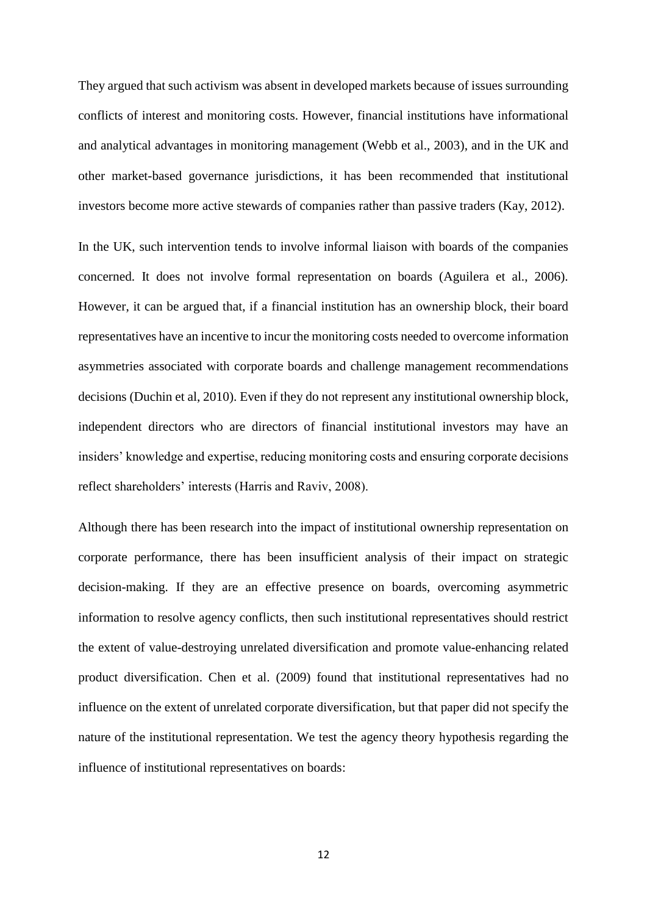They argued that such activism was absent in developed markets because of issues surrounding conflicts of interest and monitoring costs. However, financial institutions have informational and analytical advantages in monitoring management (Webb et al., 2003), and in the UK and other market-based governance jurisdictions, it has been recommended that institutional investors become more active stewards of companies rather than passive traders (Kay, 2012).

In the UK, such intervention tends to involve informal liaison with boards of the companies concerned. It does not involve formal representation on boards (Aguilera et al., 2006). However, it can be argued that, if a financial institution has an ownership block, their board representatives have an incentive to incur the monitoring costs needed to overcome information asymmetries associated with corporate boards and challenge management recommendations decisions (Duchin et al, 2010). Even if they do not represent any institutional ownership block, independent directors who are directors of financial institutional investors may have an insiders' knowledge and expertise, reducing monitoring costs and ensuring corporate decisions reflect shareholders' interests (Harris and Raviv, 2008).

Although there has been research into the impact of institutional ownership representation on corporate performance, there has been insufficient analysis of their impact on strategic decision-making. If they are an effective presence on boards, overcoming asymmetric information to resolve agency conflicts, then such institutional representatives should restrict the extent of value-destroying unrelated diversification and promote value-enhancing related product diversification. Chen et al. (2009) found that institutional representatives had no influence on the extent of unrelated corporate diversification, but that paper did not specify the nature of the institutional representation. We test the agency theory hypothesis regarding the influence of institutional representatives on boards: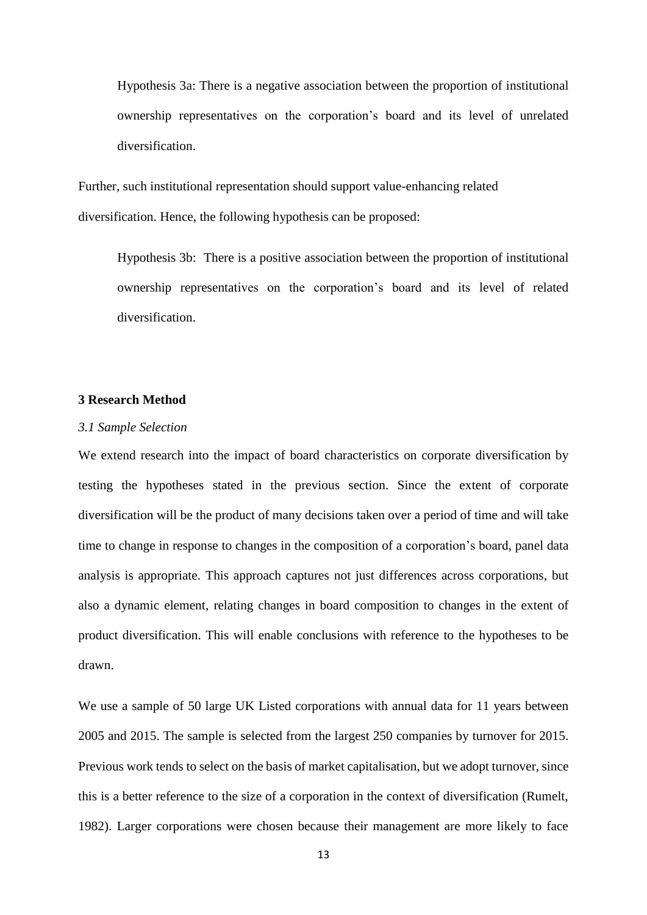Hypothesis 3a: There is a negative association between the proportion of institutional ownership representatives on the corporation's board and its level of unrelated diversification.

Further, such institutional representation should support value-enhancing related diversification. Hence, the following hypothesis can be proposed:

Hypothesis 3b: There is a positive association between the proportion of institutional ownership representatives on the corporation's board and its level of related diversification.

# **3 Research Method**

#### *3.1 Sample Selection*

We extend research into the impact of board characteristics on corporate diversification by testing the hypotheses stated in the previous section. Since the extent of corporate diversification will be the product of many decisions taken over a period of time and will take time to change in response to changes in the composition of a corporation's board, panel data analysis is appropriate. This approach captures not just differences across corporations, but also a dynamic element, relating changes in board composition to changes in the extent of product diversification. This will enable conclusions with reference to the hypotheses to be drawn.

We use a sample of 50 large UK Listed corporations with annual data for 11 years between 2005 and 2015. The sample is selected from the largest 250 companies by turnover for 2015. Previous work tends to select on the basis of market capitalisation, but we adopt turnover, since this is a better reference to the size of a corporation in the context of diversification (Rumelt, 1982). Larger corporations were chosen because their management are more likely to face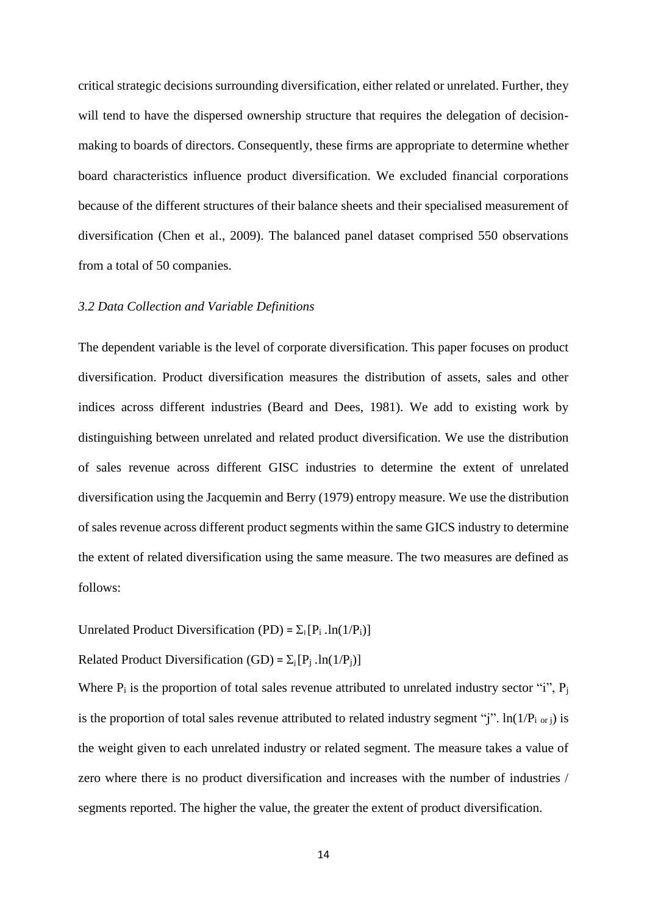critical strategic decisions surrounding diversification, either related or unrelated. Further, they will tend to have the dispersed ownership structure that requires the delegation of decisionmaking to boards of directors. Consequently, these firms are appropriate to determine whether board characteristics influence product diversification. We excluded financial corporations because of the different structures of their balance sheets and their specialised measurement of diversification (Chen et al., 2009). The balanced panel dataset comprised 550 observations from a total of 50 companies.

## *3.2 Data Collection and Variable Definitions*

The dependent variable is the level of corporate diversification. This paper focuses on product diversification. Product diversification measures the distribution of assets, sales and other indices across different industries (Beard and Dees, 1981). We add to existing work by distinguishing between unrelated and related product diversification. We use the distribution of sales revenue across different GISC industries to determine the extent of unrelated diversification using the Jacquemin and Berry (1979) entropy measure. We use the distribution of sales revenue across different product segments within the same GICS industry to determine the extent of related diversification using the same measure. The two measures are defined as follows:

Unrelated Product Diversification (PD) =  $\Sigma_1 [P_i ln(1/P_i)]$ 

Related Product Diversification (GD) =  $\Sigma_i[P_i]$ .ln(1/P<sub>i</sub>)]

Where  $P_i$  is the proportion of total sales revenue attributed to unrelated industry sector "i",  $P_i$ is the proportion of total sales revenue attributed to related industry segment "j".  $\ln(1/P_{i \text{ or } i})$  is the weight given to each unrelated industry or related segment. The measure takes a value of zero where there is no product diversification and increases with the number of industries / segments reported. The higher the value, the greater the extent of product diversification.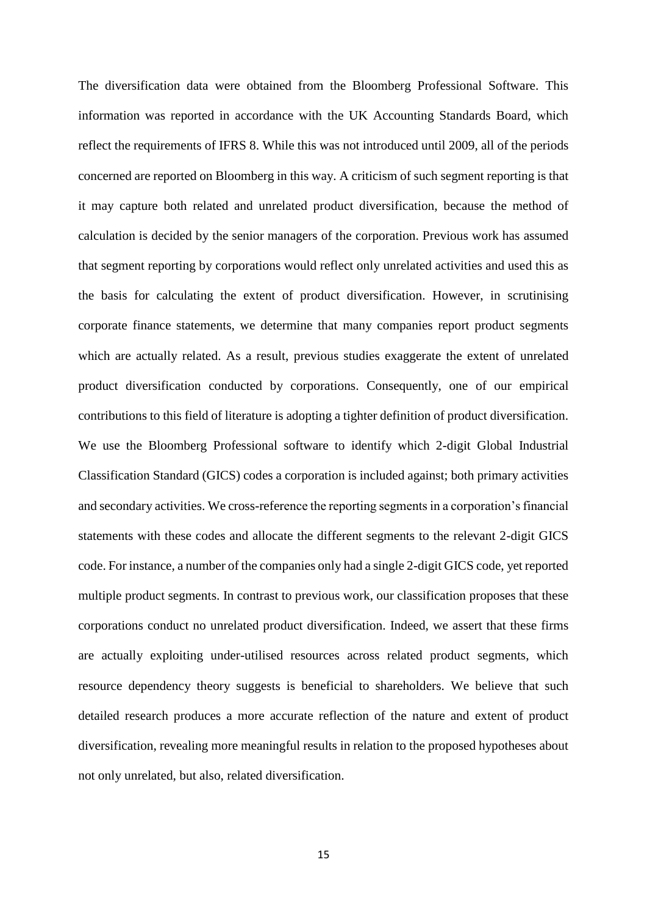The diversification data were obtained from the Bloomberg Professional Software. This information was reported in accordance with the UK Accounting Standards Board, which reflect the requirements of IFRS 8. While this was not introduced until 2009, all of the periods concerned are reported on Bloomberg in this way. A criticism of such segment reporting is that it may capture both related and unrelated product diversification, because the method of calculation is decided by the senior managers of the corporation. Previous work has assumed that segment reporting by corporations would reflect only unrelated activities and used this as the basis for calculating the extent of product diversification. However, in scrutinising corporate finance statements, we determine that many companies report product segments which are actually related. As a result, previous studies exaggerate the extent of unrelated product diversification conducted by corporations. Consequently, one of our empirical contributions to this field of literature is adopting a tighter definition of product diversification. We use the Bloomberg Professional software to identify which 2-digit Global Industrial Classification Standard (GICS) codes a corporation is included against; both primary activities and secondary activities. We cross-reference the reporting segments in a corporation's financial statements with these codes and allocate the different segments to the relevant 2-digit GICS code. For instance, a number of the companies only had a single 2-digit GICS code, yet reported multiple product segments. In contrast to previous work, our classification proposes that these corporations conduct no unrelated product diversification. Indeed, we assert that these firms are actually exploiting under-utilised resources across related product segments, which resource dependency theory suggests is beneficial to shareholders. We believe that such detailed research produces a more accurate reflection of the nature and extent of product diversification, revealing more meaningful results in relation to the proposed hypotheses about not only unrelated, but also, related diversification.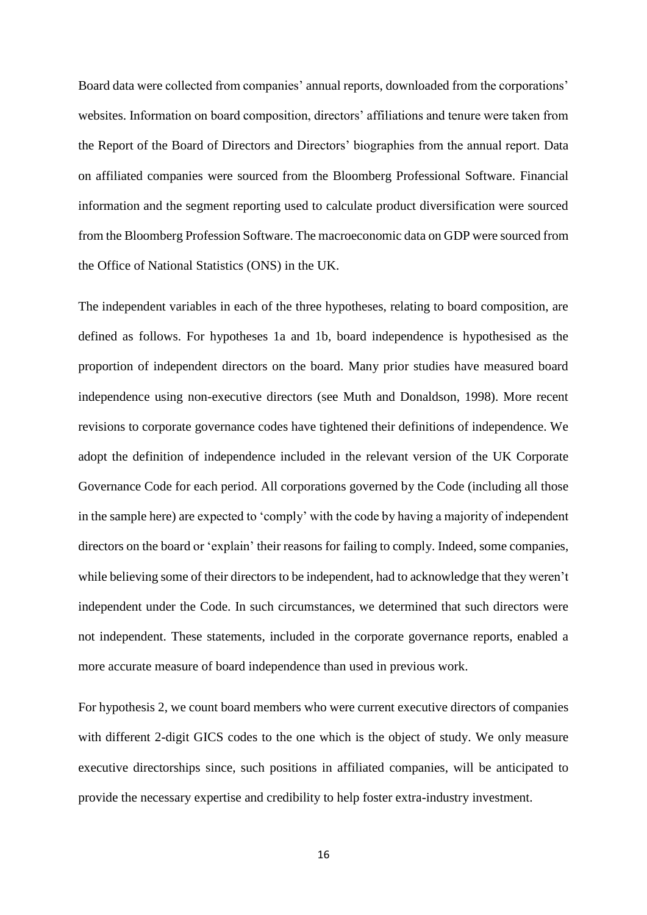Board data were collected from companies' annual reports, downloaded from the corporations' websites. Information on board composition, directors' affiliations and tenure were taken from the Report of the Board of Directors and Directors' biographies from the annual report. Data on affiliated companies were sourced from the Bloomberg Professional Software. Financial information and the segment reporting used to calculate product diversification were sourced from the Bloomberg Profession Software. The macroeconomic data on GDP were sourced from the Office of National Statistics (ONS) in the UK.

The independent variables in each of the three hypotheses, relating to board composition, are defined as follows. For hypotheses 1a and 1b, board independence is hypothesised as the proportion of independent directors on the board. Many prior studies have measured board independence using non-executive directors (see Muth and Donaldson, 1998). More recent revisions to corporate governance codes have tightened their definitions of independence. We adopt the definition of independence included in the relevant version of the UK Corporate Governance Code for each period. All corporations governed by the Code (including all those in the sample here) are expected to 'comply' with the code by having a majority of independent directors on the board or 'explain' their reasons for failing to comply. Indeed, some companies, while believing some of their directors to be independent, had to acknowledge that they weren't independent under the Code. In such circumstances, we determined that such directors were not independent. These statements, included in the corporate governance reports, enabled a more accurate measure of board independence than used in previous work.

For hypothesis 2, we count board members who were current executive directors of companies with different 2-digit GICS codes to the one which is the object of study. We only measure executive directorships since, such positions in affiliated companies, will be anticipated to provide the necessary expertise and credibility to help foster extra-industry investment.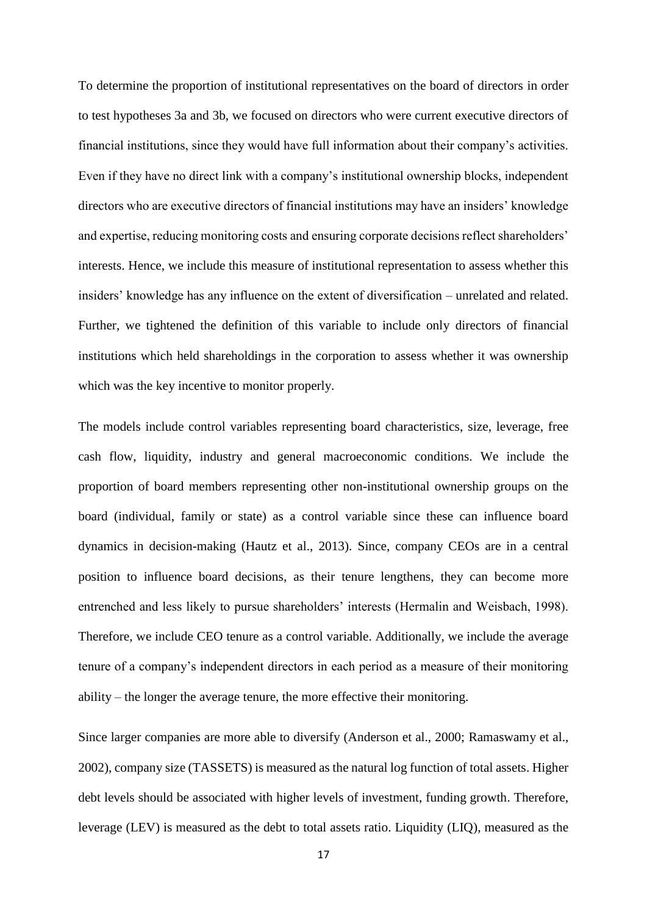To determine the proportion of institutional representatives on the board of directors in order to test hypotheses 3a and 3b, we focused on directors who were current executive directors of financial institutions, since they would have full information about their company's activities. Even if they have no direct link with a company's institutional ownership blocks, independent directors who are executive directors of financial institutions may have an insiders' knowledge and expertise, reducing monitoring costs and ensuring corporate decisions reflect shareholders' interests. Hence, we include this measure of institutional representation to assess whether this insiders' knowledge has any influence on the extent of diversification – unrelated and related. Further, we tightened the definition of this variable to include only directors of financial institutions which held shareholdings in the corporation to assess whether it was ownership which was the key incentive to monitor properly.

The models include control variables representing board characteristics, size, leverage, free cash flow, liquidity, industry and general macroeconomic conditions. We include the proportion of board members representing other non-institutional ownership groups on the board (individual, family or state) as a control variable since these can influence board dynamics in decision-making (Hautz et al., 2013). Since, company CEOs are in a central position to influence board decisions, as their tenure lengthens, they can become more entrenched and less likely to pursue shareholders' interests (Hermalin and Weisbach, 1998). Therefore, we include CEO tenure as a control variable. Additionally, we include the average tenure of a company's independent directors in each period as a measure of their monitoring ability – the longer the average tenure, the more effective their monitoring.

Since larger companies are more able to diversify (Anderson et al., 2000; Ramaswamy et al., 2002), company size (TASSETS) is measured as the natural log function of total assets. Higher debt levels should be associated with higher levels of investment, funding growth. Therefore, leverage (LEV) is measured as the debt to total assets ratio. Liquidity (LIQ), measured as the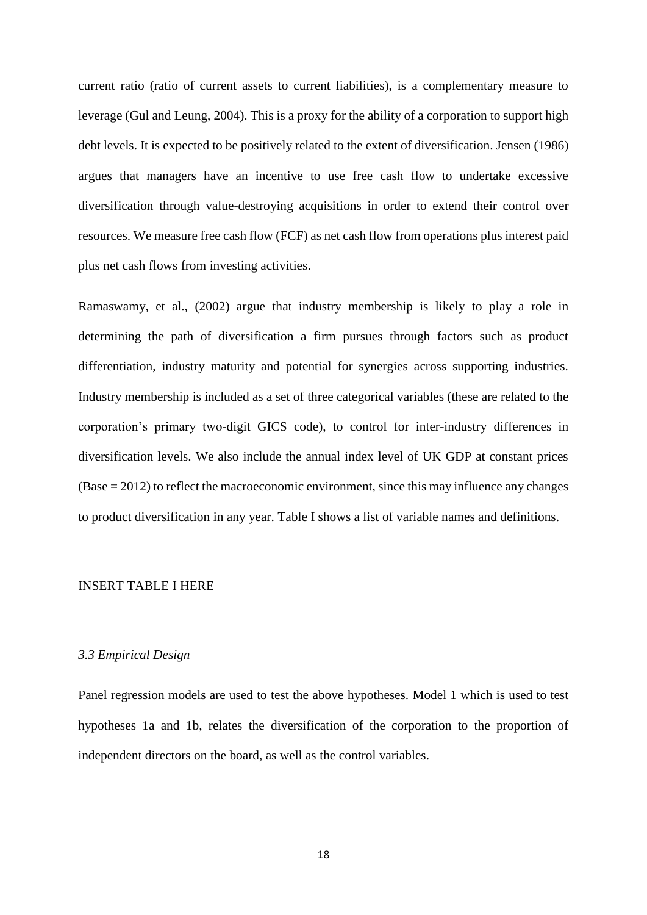current ratio (ratio of current assets to current liabilities), is a complementary measure to leverage (Gul and Leung, 2004). This is a proxy for the ability of a corporation to support high debt levels. It is expected to be positively related to the extent of diversification. Jensen (1986) argues that managers have an incentive to use free cash flow to undertake excessive diversification through value-destroying acquisitions in order to extend their control over resources. We measure free cash flow (FCF) as net cash flow from operations plus interest paid plus net cash flows from investing activities.

Ramaswamy, et al., (2002) argue that industry membership is likely to play a role in determining the path of diversification a firm pursues through factors such as product differentiation, industry maturity and potential for synergies across supporting industries. Industry membership is included as a set of three categorical variables (these are related to the corporation's primary two-digit GICS code), to control for inter-industry differences in diversification levels. We also include the annual index level of UK GDP at constant prices (Base = 2012) to reflect the macroeconomic environment, since this may influence any changes to product diversification in any year. Table I shows a list of variable names and definitions.

#### INSERT TABLE I HERE

#### *3.3 Empirical Design*

Panel regression models are used to test the above hypotheses. Model 1 which is used to test hypotheses 1a and 1b, relates the diversification of the corporation to the proportion of independent directors on the board, as well as the control variables.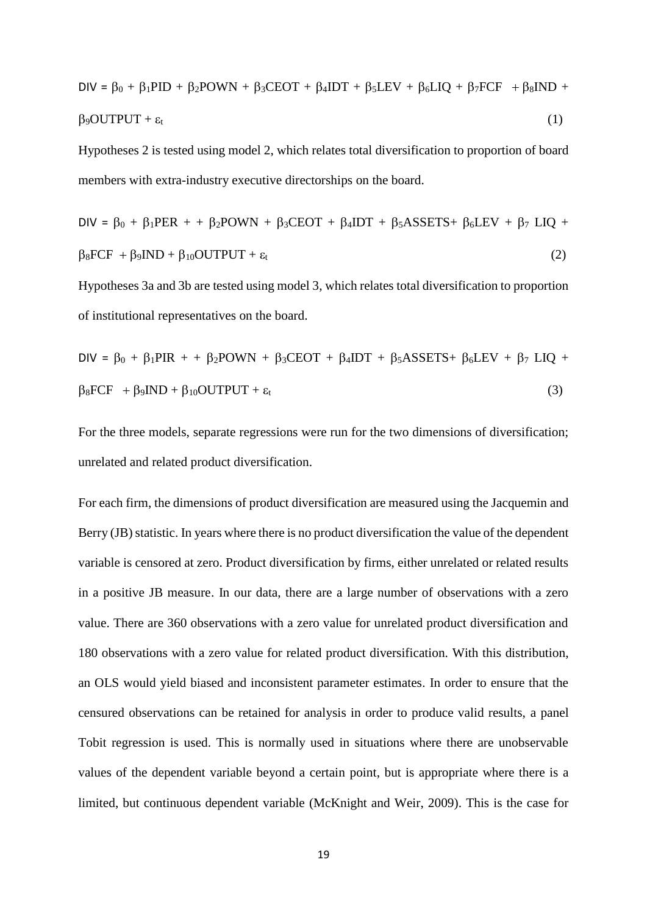$$
DIV = \beta_0 + \beta_1 PID + \beta_2 POWN + \beta_3 C EOT + \beta_4 IDT + \beta_5 LEV + \beta_6 LIQ + \beta_7 FCF + \beta_8 IND + \beta_9 OUTPUT + \epsilon_t
$$
\n(1)

Hypotheses 2 is tested using model 2, which relates total diversification to proportion of board members with extra-industry executive directorships on the board.

$$
DIV = \beta_0 + \beta_1 PER + \beta_2 POWN + \beta_3 C EOT + \beta_4 IDT + \beta_5 ASSETS + \beta_6 LEV + \beta_7 LIQ + \beta_8 FCF + \beta_9 IND + \beta_{10} OUTPUT + \epsilon_t
$$
\n(2)

Hypotheses 3a and 3b are tested using model 3, which relates total diversification to proportion of institutional representatives on the board.

$$
DIV = \beta_0 + \beta_1 PIR + \beta_2 POWN + \beta_3 CEOT + \beta_4 IDT + \beta_5 ASSETS + \beta_6 LEV + \beta_7 LIQ + \beta_8 FCF + \beta_9 IND + \beta_{10} OUTPUT + \epsilon_t
$$
\n(3)

For the three models, separate regressions were run for the two dimensions of diversification; unrelated and related product diversification.

For each firm, the dimensions of product diversification are measured using the Jacquemin and Berry (JB) statistic. In years where there is no product diversification the value of the dependent variable is censored at zero. Product diversification by firms, either unrelated or related results in a positive JB measure. In our data, there are a large number of observations with a zero value. There are 360 observations with a zero value for unrelated product diversification and 180 observations with a zero value for related product diversification. With this distribution, an OLS would yield biased and inconsistent parameter estimates. In order to ensure that the censured observations can be retained for analysis in order to produce valid results, a panel Tobit regression is used. This is normally used in situations where there are unobservable values of the dependent variable beyond a certain point, but is appropriate where there is a limited, but continuous dependent variable (McKnight and Weir, 2009). This is the case for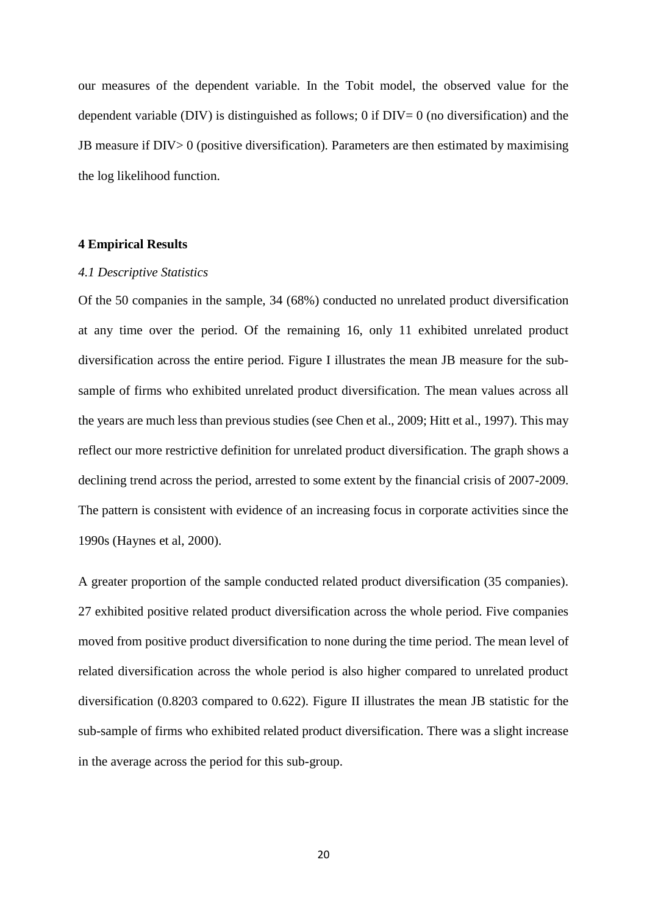our measures of the dependent variable. In the Tobit model, the observed value for the dependent variable (DIV) is distinguished as follows; 0 if  $DIV= 0$  (no diversification) and the JB measure if DIV> 0 (positive diversification)*.* Parameters are then estimated by maximising the log likelihood function.

### **4 Empirical Results**

#### *4.1 Descriptive Statistics*

Of the 50 companies in the sample, 34 (68%) conducted no unrelated product diversification at any time over the period. Of the remaining 16, only 11 exhibited unrelated product diversification across the entire period. Figure I illustrates the mean JB measure for the subsample of firms who exhibited unrelated product diversification. The mean values across all the years are much less than previous studies (see Chen et al., 2009; Hitt et al., 1997). This may reflect our more restrictive definition for unrelated product diversification. The graph shows a declining trend across the period, arrested to some extent by the financial crisis of 2007-2009. The pattern is consistent with evidence of an increasing focus in corporate activities since the 1990s (Haynes et al, 2000).

A greater proportion of the sample conducted related product diversification (35 companies). 27 exhibited positive related product diversification across the whole period. Five companies moved from positive product diversification to none during the time period. The mean level of related diversification across the whole period is also higher compared to unrelated product diversification (0.8203 compared to 0.622). Figure II illustrates the mean JB statistic for the sub-sample of firms who exhibited related product diversification. There was a slight increase in the average across the period for this sub-group.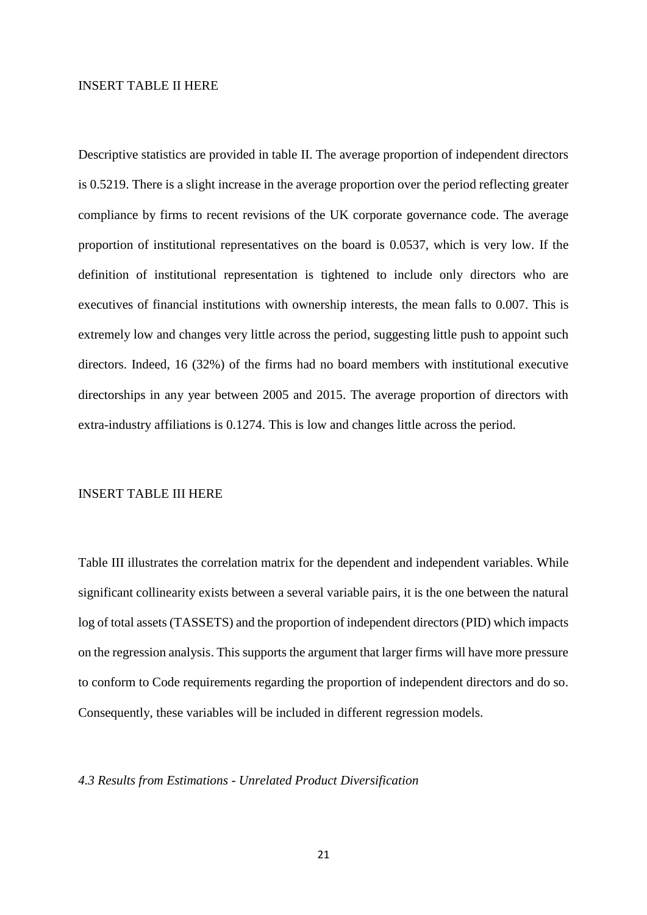#### INSERT TABLE II HERE

Descriptive statistics are provided in table II. The average proportion of independent directors is 0.5219. There is a slight increase in the average proportion over the period reflecting greater compliance by firms to recent revisions of the UK corporate governance code. The average proportion of institutional representatives on the board is 0.0537, which is very low. If the definition of institutional representation is tightened to include only directors who are executives of financial institutions with ownership interests, the mean falls to 0.007. This is extremely low and changes very little across the period, suggesting little push to appoint such directors. Indeed, 16 (32%) of the firms had no board members with institutional executive directorships in any year between 2005 and 2015. The average proportion of directors with extra-industry affiliations is 0.1274. This is low and changes little across the period.

## INSERT TABLE III HERE

Table III illustrates the correlation matrix for the dependent and independent variables. While significant collinearity exists between a several variable pairs, it is the one between the natural log of total assets (TASSETS) and the proportion of independent directors (PID) which impacts on the regression analysis. This supports the argument that larger firms will have more pressure to conform to Code requirements regarding the proportion of independent directors and do so. Consequently, these variables will be included in different regression models.

#### *4.3 Results from Estimations - Unrelated Product Diversification*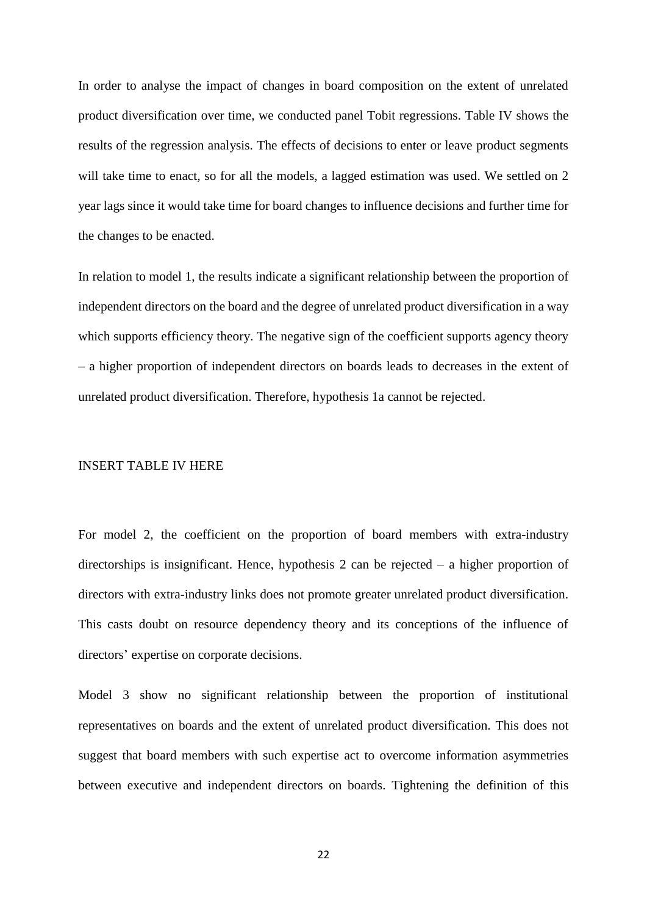In order to analyse the impact of changes in board composition on the extent of unrelated product diversification over time, we conducted panel Tobit regressions. Table IV shows the results of the regression analysis. The effects of decisions to enter or leave product segments will take time to enact, so for all the models, a lagged estimation was used. We settled on 2 year lags since it would take time for board changes to influence decisions and further time for the changes to be enacted.

In relation to model 1, the results indicate a significant relationship between the proportion of independent directors on the board and the degree of unrelated product diversification in a way which supports efficiency theory. The negative sign of the coefficient supports agency theory – a higher proportion of independent directors on boards leads to decreases in the extent of unrelated product diversification. Therefore, hypothesis 1a cannot be rejected.

## INSERT TABLE IV HERE

For model 2, the coefficient on the proportion of board members with extra-industry directorships is insignificant. Hence, hypothesis 2 can be rejected – a higher proportion of directors with extra-industry links does not promote greater unrelated product diversification. This casts doubt on resource dependency theory and its conceptions of the influence of directors' expertise on corporate decisions.

Model 3 show no significant relationship between the proportion of institutional representatives on boards and the extent of unrelated product diversification. This does not suggest that board members with such expertise act to overcome information asymmetries between executive and independent directors on boards. Tightening the definition of this

22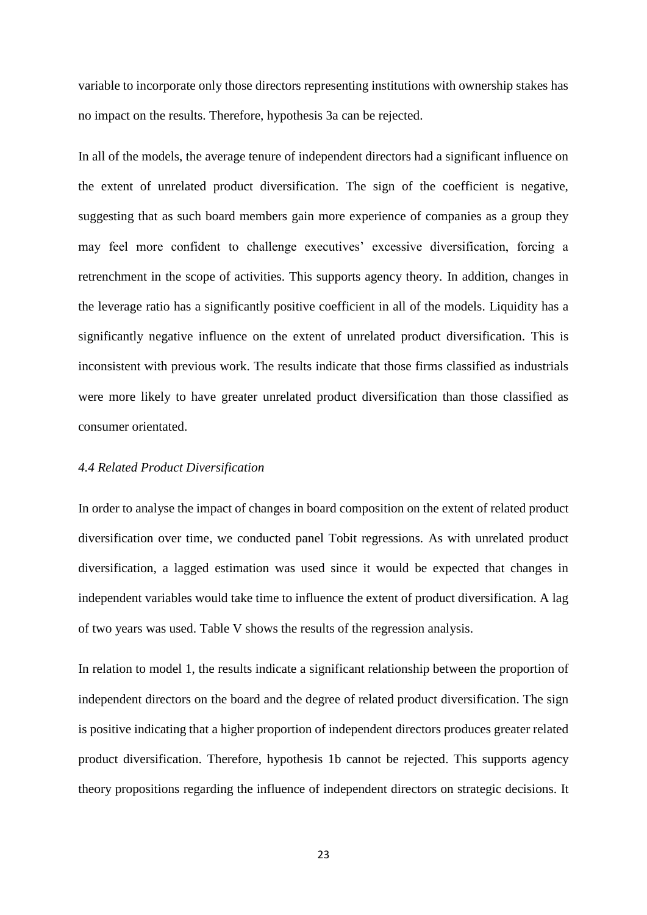variable to incorporate only those directors representing institutions with ownership stakes has no impact on the results. Therefore, hypothesis 3a can be rejected.

In all of the models, the average tenure of independent directors had a significant influence on the extent of unrelated product diversification. The sign of the coefficient is negative, suggesting that as such board members gain more experience of companies as a group they may feel more confident to challenge executives' excessive diversification, forcing a retrenchment in the scope of activities. This supports agency theory. In addition, changes in the leverage ratio has a significantly positive coefficient in all of the models. Liquidity has a significantly negative influence on the extent of unrelated product diversification. This is inconsistent with previous work. The results indicate that those firms classified as industrials were more likely to have greater unrelated product diversification than those classified as consumer orientated.

#### *4.4 Related Product Diversification*

In order to analyse the impact of changes in board composition on the extent of related product diversification over time, we conducted panel Tobit regressions. As with unrelated product diversification, a lagged estimation was used since it would be expected that changes in independent variables would take time to influence the extent of product diversification. A lag of two years was used. Table V shows the results of the regression analysis.

In relation to model 1, the results indicate a significant relationship between the proportion of independent directors on the board and the degree of related product diversification. The sign is positive indicating that a higher proportion of independent directors produces greater related product diversification. Therefore, hypothesis 1b cannot be rejected. This supports agency theory propositions regarding the influence of independent directors on strategic decisions. It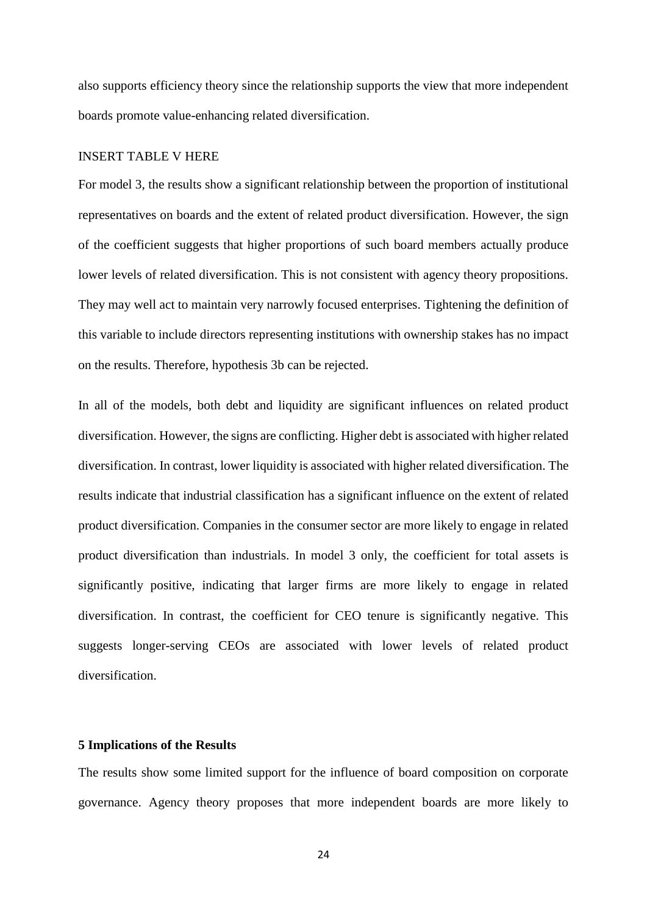also supports efficiency theory since the relationship supports the view that more independent boards promote value-enhancing related diversification.

#### INSERT TABLE V HERE

For model 3, the results show a significant relationship between the proportion of institutional representatives on boards and the extent of related product diversification. However, the sign of the coefficient suggests that higher proportions of such board members actually produce lower levels of related diversification. This is not consistent with agency theory propositions. They may well act to maintain very narrowly focused enterprises. Tightening the definition of this variable to include directors representing institutions with ownership stakes has no impact on the results. Therefore, hypothesis 3b can be rejected.

In all of the models, both debt and liquidity are significant influences on related product diversification. However, the signs are conflicting. Higher debt is associated with higher related diversification. In contrast, lower liquidity is associated with higher related diversification. The results indicate that industrial classification has a significant influence on the extent of related product diversification. Companies in the consumer sector are more likely to engage in related product diversification than industrials. In model 3 only, the coefficient for total assets is significantly positive, indicating that larger firms are more likely to engage in related diversification. In contrast, the coefficient for CEO tenure is significantly negative. This suggests longer-serving CEOs are associated with lower levels of related product diversification.

# **5 Implications of the Results**

The results show some limited support for the influence of board composition on corporate governance. Agency theory proposes that more independent boards are more likely to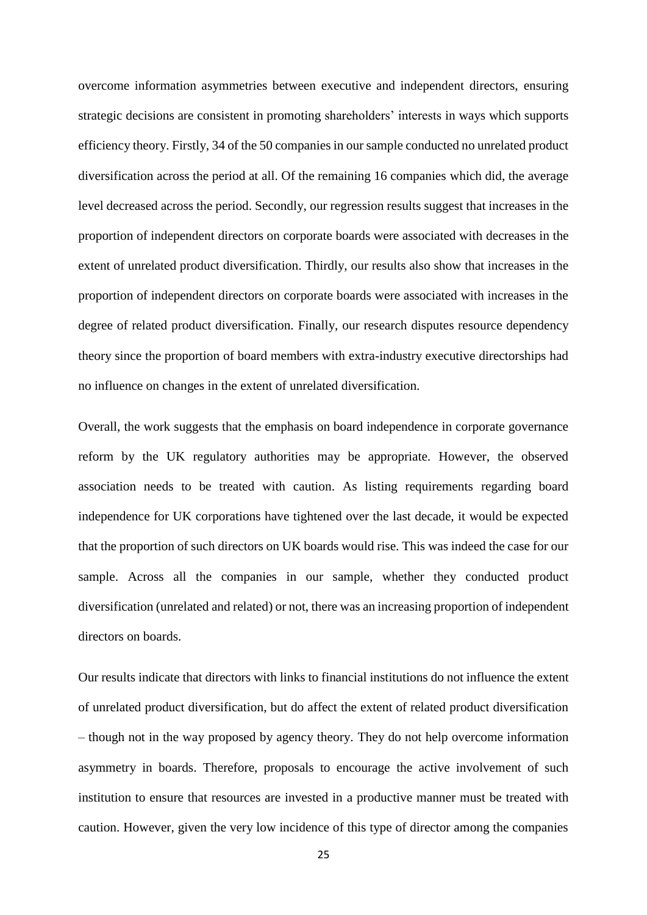overcome information asymmetries between executive and independent directors, ensuring strategic decisions are consistent in promoting shareholders' interests in ways which supports efficiency theory. Firstly, 34 of the 50 companies in our sample conducted no unrelated product diversification across the period at all. Of the remaining 16 companies which did, the average level decreased across the period. Secondly, our regression results suggest that increases in the proportion of independent directors on corporate boards were associated with decreases in the extent of unrelated product diversification. Thirdly, our results also show that increases in the proportion of independent directors on corporate boards were associated with increases in the degree of related product diversification. Finally, our research disputes resource dependency theory since the proportion of board members with extra-industry executive directorships had no influence on changes in the extent of unrelated diversification.

Overall, the work suggests that the emphasis on board independence in corporate governance reform by the UK regulatory authorities may be appropriate. However, the observed association needs to be treated with caution. As listing requirements regarding board independence for UK corporations have tightened over the last decade, it would be expected that the proportion of such directors on UK boards would rise. This was indeed the case for our sample. Across all the companies in our sample, whether they conducted product diversification (unrelated and related) or not, there was an increasing proportion of independent directors on boards.

Our results indicate that directors with links to financial institutions do not influence the extent of unrelated product diversification, but do affect the extent of related product diversification – though not in the way proposed by agency theory. They do not help overcome information asymmetry in boards. Therefore, proposals to encourage the active involvement of such institution to ensure that resources are invested in a productive manner must be treated with caution. However, given the very low incidence of this type of director among the companies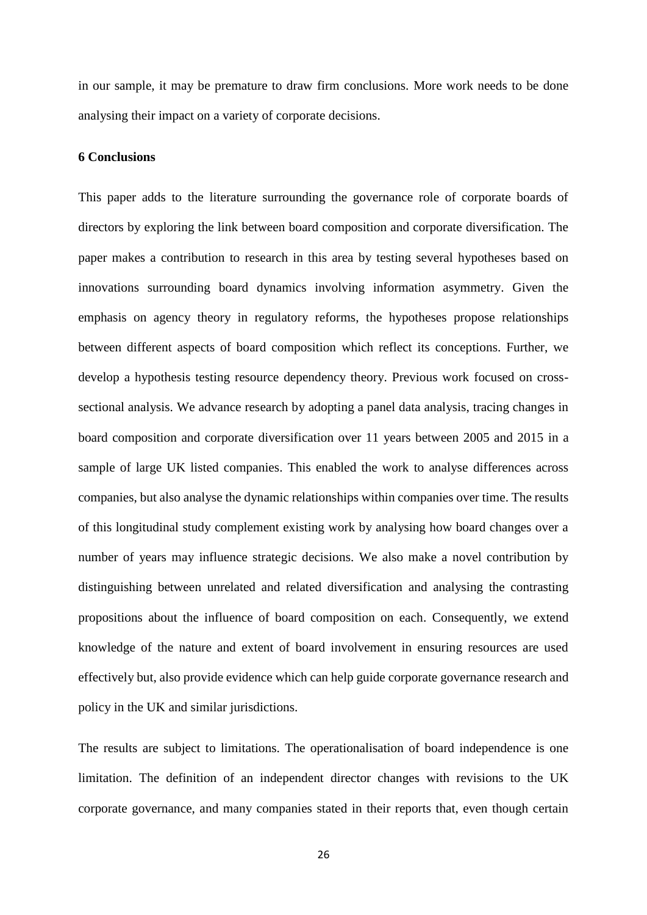in our sample, it may be premature to draw firm conclusions. More work needs to be done analysing their impact on a variety of corporate decisions.

#### **6 Conclusions**

This paper adds to the literature surrounding the governance role of corporate boards of directors by exploring the link between board composition and corporate diversification. The paper makes a contribution to research in this area by testing several hypotheses based on innovations surrounding board dynamics involving information asymmetry. Given the emphasis on agency theory in regulatory reforms, the hypotheses propose relationships between different aspects of board composition which reflect its conceptions. Further, we develop a hypothesis testing resource dependency theory. Previous work focused on crosssectional analysis. We advance research by adopting a panel data analysis, tracing changes in board composition and corporate diversification over 11 years between 2005 and 2015 in a sample of large UK listed companies. This enabled the work to analyse differences across companies, but also analyse the dynamic relationships within companies over time. The results of this longitudinal study complement existing work by analysing how board changes over a number of years may influence strategic decisions. We also make a novel contribution by distinguishing between unrelated and related diversification and analysing the contrasting propositions about the influence of board composition on each. Consequently, we extend knowledge of the nature and extent of board involvement in ensuring resources are used effectively but, also provide evidence which can help guide corporate governance research and policy in the UK and similar jurisdictions.

The results are subject to limitations. The operationalisation of board independence is one limitation. The definition of an independent director changes with revisions to the UK corporate governance, and many companies stated in their reports that, even though certain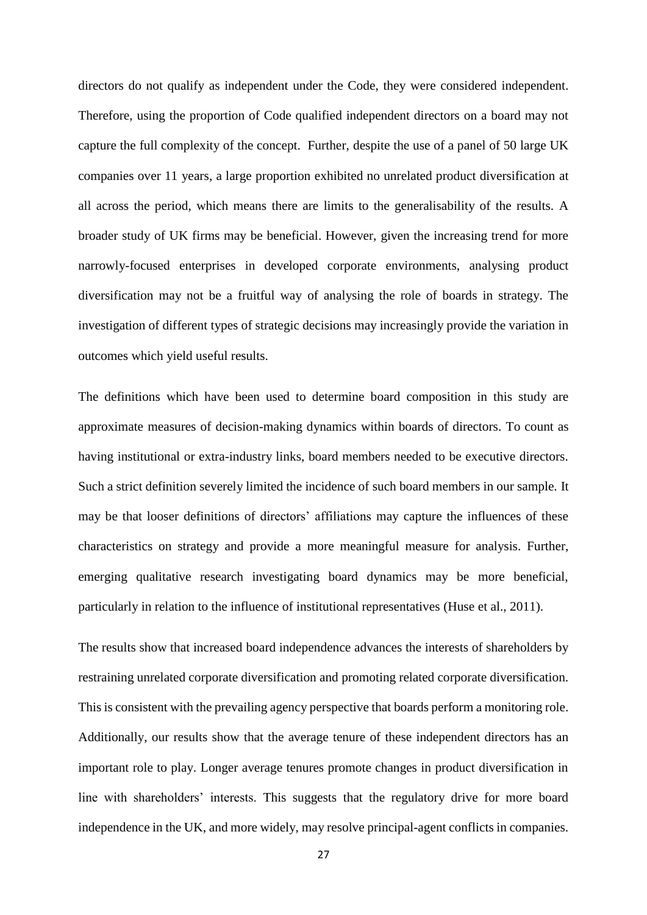directors do not qualify as independent under the Code, they were considered independent. Therefore, using the proportion of Code qualified independent directors on a board may not capture the full complexity of the concept. Further, despite the use of a panel of 50 large UK companies over 11 years, a large proportion exhibited no unrelated product diversification at all across the period, which means there are limits to the generalisability of the results. A broader study of UK firms may be beneficial. However, given the increasing trend for more narrowly-focused enterprises in developed corporate environments, analysing product diversification may not be a fruitful way of analysing the role of boards in strategy. The investigation of different types of strategic decisions may increasingly provide the variation in outcomes which yield useful results.

The definitions which have been used to determine board composition in this study are approximate measures of decision-making dynamics within boards of directors. To count as having institutional or extra-industry links, board members needed to be executive directors. Such a strict definition severely limited the incidence of such board members in our sample. It may be that looser definitions of directors' affiliations may capture the influences of these characteristics on strategy and provide a more meaningful measure for analysis. Further, emerging qualitative research investigating board dynamics may be more beneficial, particularly in relation to the influence of institutional representatives (Huse et al., 2011).

The results show that increased board independence advances the interests of shareholders by restraining unrelated corporate diversification and promoting related corporate diversification. This is consistent with the prevailing agency perspective that boards perform a monitoring role. Additionally, our results show that the average tenure of these independent directors has an important role to play. Longer average tenures promote changes in product diversification in line with shareholders' interests. This suggests that the regulatory drive for more board independence in the UK, and more widely, may resolve principal-agent conflicts in companies.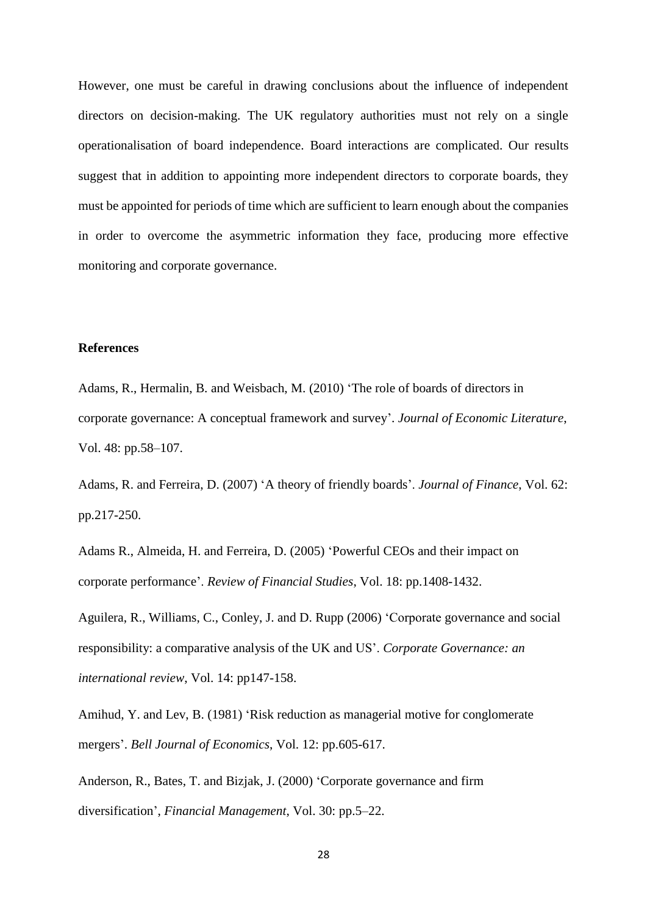However, one must be careful in drawing conclusions about the influence of independent directors on decision-making. The UK regulatory authorities must not rely on a single operationalisation of board independence. Board interactions are complicated. Our results suggest that in addition to appointing more independent directors to corporate boards, they must be appointed for periods of time which are sufficient to learn enough about the companies in order to overcome the asymmetric information they face, producing more effective monitoring and corporate governance.

# **References**

Adams, R., Hermalin, B. and Weisbach, M. (2010) 'The role of boards of directors in corporate governance: A conceptual framework and survey'. *Journal of Economic Literature*, Vol. 48: pp.58–107.

Adams, R. and Ferreira, D. (2007) 'A theory of friendly boards'. *Journal of Finance*, Vol. 62: pp.217-250.

Adams R., Almeida, H. and Ferreira, D. (2005) 'Powerful CEOs and their impact on corporate performance'. *Review of Financial Studies*, Vol. 18: pp.1408-1432.

Aguilera, R., Williams, C., Conley, J. and D. Rupp (2006) 'Corporate governance and social responsibility: a comparative analysis of the UK and US'. *Corporate Governance: an international review*, Vol. 14: pp147-158.

Amihud, Y. and Lev, B. (1981) 'Risk reduction as managerial motive for conglomerate mergers'. *Bell Journal of Economics*, Vol. 12: pp.605-617.

Anderson, R., Bates, T. and Bizjak, J. (2000) 'Corporate governance and firm diversification', *Financial Management*, Vol. 30: pp.5–22.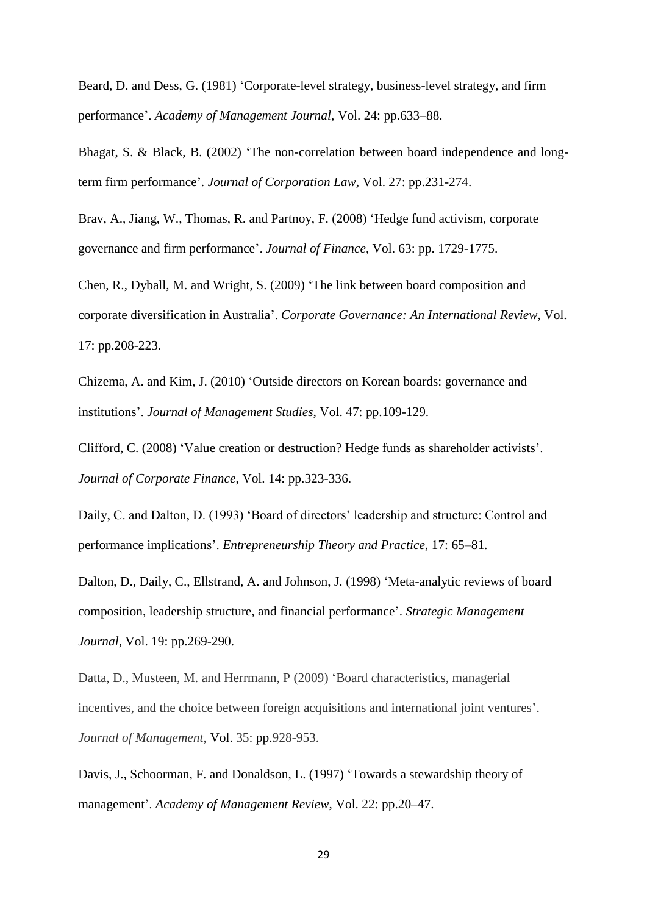Beard, D. and Dess, G. (1981) 'Corporate-level strategy, business-level strategy, and firm performance'. *Academy of Management Journal*, Vol. 24: pp.633–88.

Bhagat, S. & Black, B. (2002) 'The non-correlation between board independence and longterm firm performance'. *Journal of Corporation Law,* Vol. 27: pp.231-274.

Brav, A., Jiang, W., Thomas, R. and Partnoy, F. (2008) 'Hedge fund activism, corporate governance and firm performance'. *Journal of Finance*, Vol. 63: pp. 1729-1775.

Chen, R., Dyball, M. and Wright, S. (2009) 'The link between board composition and corporate diversification in Australia'. *Corporate Governance: An International Review*, Vol. 17: pp.208-223.

Chizema, A. and Kim, J. (2010) 'Outside directors on Korean boards: governance and institutions'. *Journal of Management Studies*, Vol. 47: pp.109-129.

Clifford, C. (2008) 'Value creation or destruction? Hedge funds as shareholder activists'. *Journal of Corporate Finance*, Vol. 14: pp.323-336.

Daily, C. and Dalton, D. (1993) 'Board of directors' leadership and structure: Control and performance implications'. *Entrepreneurship Theory and Practice*, 17: 65–81.

Dalton, D., Daily, C., Ellstrand, A. and Johnson, J. (1998) 'Meta-analytic reviews of board composition, leadership structure, and financial performance'. *Strategic Management Journal*, Vol. 19: pp.269-290.

Datta, D., Musteen, M. and Herrmann, P (2009) 'Board characteristics, managerial incentives, and the choice between foreign acquisitions and international joint ventures'. *Journal of Management*, Vol. 35: pp.928-953.

Davis, J., Schoorman, F. and Donaldson, L. (1997) 'Towards a stewardship theory of management'. *Academy of Management Review*, Vol. 22: pp.20–47.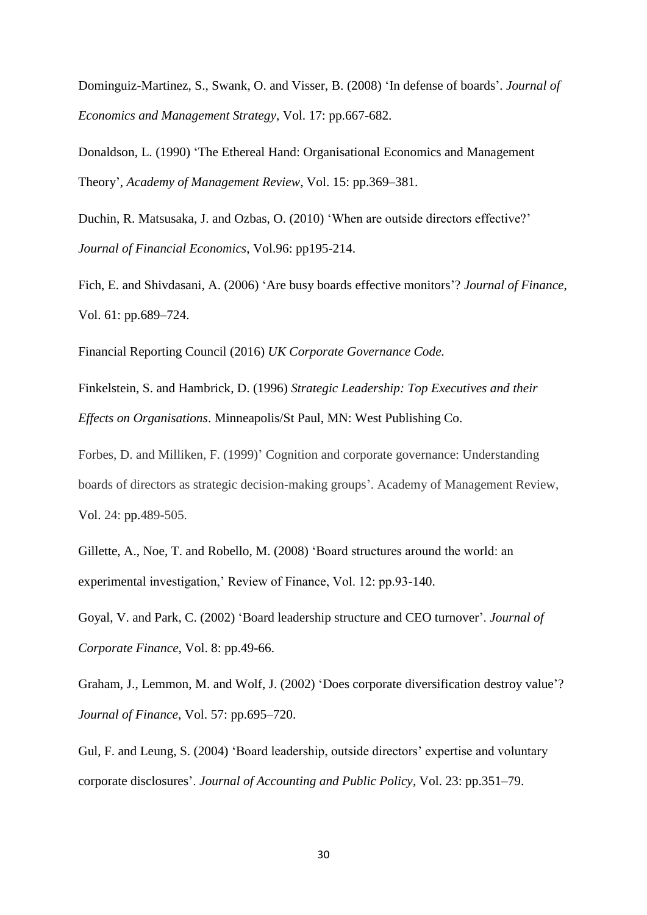Dominguiz-Martinez, S., Swank, O. and Visser, B. (2008) 'In defense of boards'. *Journal of Economics and Management Strategy*, Vol. 17: pp.667-682.

Donaldson, L. (1990) 'The Ethereal Hand: Organisational Economics and Management Theory', *Academy of Management Review*, Vol. 15: pp.369–381.

Duchin, R. Matsusaka, J. and Ozbas, O. (2010) 'When are outside directors effective?' *Journal of Financial Economics*, Vol.96: pp195-214.

Fich, E. and Shivdasani, A. (2006) 'Are busy boards effective monitors'? *Journal of Finance*, Vol. 61: pp.689–724.

Financial Reporting Council (2016) *UK Corporate Governance Code.*

Finkelstein, S. and Hambrick, D. (1996) *Strategic Leadership: Top Executives and their Effects on Organisations*. Minneapolis/St Paul, MN: West Publishing Co.

Forbes, D. and Milliken, F. (1999)' Cognition and corporate governance: Understanding boards of directors as strategic decision-making groups'. Academy of Management Review, Vol. 24: pp.489-505.

Gillette, A., Noe, T. and Robello, M. (2008) 'Board structures around the world: an experimental investigation,' Review of Finance, Vol. 12: pp.93-140.

Goyal, V. and Park, C. (2002) 'Board leadership structure and CEO turnover'. *Journal of Corporate Finance*, Vol. 8: pp.49-66.

Graham, J., Lemmon, M. and Wolf, J. (2002) 'Does corporate diversification destroy value'? *Journal of Finance*, Vol. 57: pp.695–720.

Gul, F. and Leung, S. (2004) 'Board leadership, outside directors' expertise and voluntary corporate disclosures'. *Journal of Accounting and Public Policy*, Vol. 23: pp.351–79.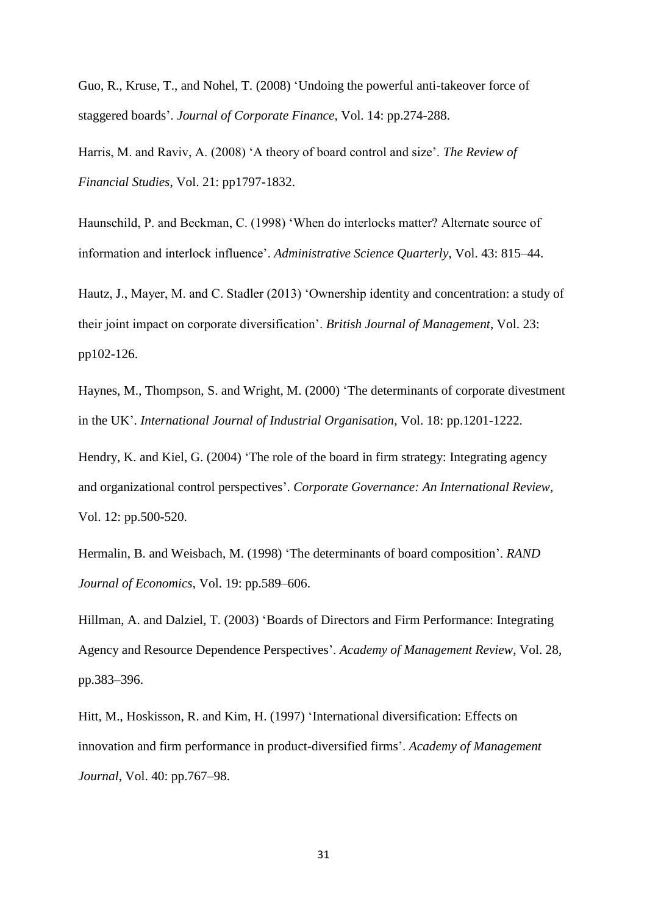Guo, R., Kruse, T., and Nohel, T. (2008) 'Undoing the powerful anti-takeover force of staggered boards'. *Journal of Corporate Finance*, Vol. 14: pp.274-288.

Harris, M. and Raviv, A. (2008) 'A theory of board control and size'. *The Review of Financial Studies*, Vol. 21: pp1797-1832.

Haunschild, P. and Beckman, C. (1998) 'When do interlocks matter? Alternate source of information and interlock influence'. *Administrative Science Quarterly*, Vol. 43: 815–44.

Hautz, J., Mayer, M. and C. Stadler (2013) 'Ownership identity and concentration: a study of their joint impact on corporate diversification'. *British Journal of Management*, Vol. 23: pp102-126.

Haynes, M., Thompson, S. and Wright, M. (2000) 'The determinants of corporate divestment in the UK'. *International Journal of Industrial Organisation*, Vol. 18: pp.1201-1222.

Hendry, K. and Kiel, G. (2004) 'The role of the board in firm strategy: Integrating agency and organizational control perspectives'. *Corporate Governance: An International Review*, Vol. 12: pp.500-520.

Hermalin, B. and Weisbach, M. (1998) 'The determinants of board composition'. *RAND Journal of Economics*, Vol. 19: pp.589–606.

Hillman, A. and Dalziel, T. (2003) 'Boards of Directors and Firm Performance: Integrating Agency and Resource Dependence Perspectives'. *Academy of Management Review*, Vol. 28, pp.383–396.

Hitt, M., Hoskisson, R. and Kim, H. (1997) 'International diversification: Effects on innovation and firm performance in product-diversified firms'. *Academy of Management Journal*, Vol. 40: pp.767–98.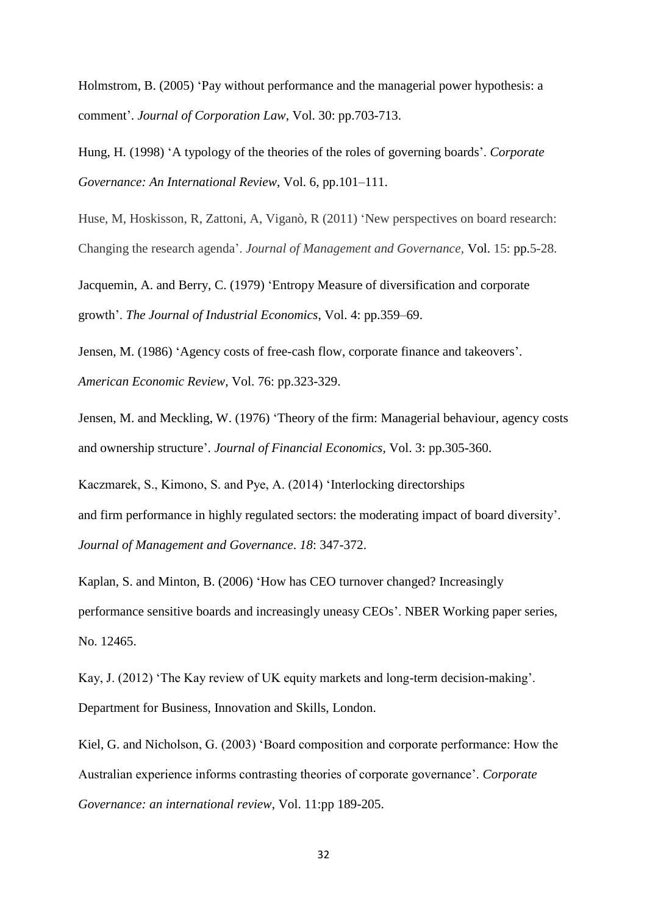Holmstrom, B. (2005) 'Pay without performance and the managerial power hypothesis: a comment'. *Journal of Corporation Law*, Vol. 30: pp.703-713.

Hung, H. (1998) 'A typology of the theories of the roles of governing boards'. *Corporate Governance: An International Review*, Vol. 6, pp.101–111.

Huse, M, Hoskisson, R, Zattoni, A, Viganò, R (2011) 'New perspectives on board research: Changing the research agenda'. *Journal of Management and Governance,* Vol. 15: pp.5-28.

Jacquemin, A. and Berry, C. (1979) 'Entropy Measure of diversification and corporate growth'. *The Journal of Industrial Economics*, Vol. 4: pp.359–69.

Jensen, M. (1986) 'Agency costs of free-cash flow, corporate finance and takeovers'. *American Economic Review*, Vol. 76: pp.323-329.

Jensen, M. and Meckling, W. (1976) 'Theory of the firm: Managerial behaviour, agency costs and ownership structure'. *Journal of Financial Economics,* Vol. 3: pp.305-360.

Kaczmarek, S., Kimono, S. and Pye, A. (2014) 'Interlocking directorships and firm performance in highly regulated sectors: the moderating impact of board diversity'. *Journal of [Management](javascript:__doLinkPostBack() and Governance*. *18*: 347-372.

Kaplan, S. and Minton, B. (2006) 'How has CEO turnover changed? Increasingly performance sensitive boards and increasingly uneasy CEOs'. NBER Working paper series, No. 12465.

Kay, J. (2012) 'The Kay review of UK equity markets and long-term decision-making'. Department for Business, Innovation and Skills, London.

Kiel, G. and Nicholson, G. (2003) 'Board composition and corporate performance: How the Australian experience informs contrasting theories of corporate governance'. *Corporate Governance: an international review*, Vol. 11:pp 189-205.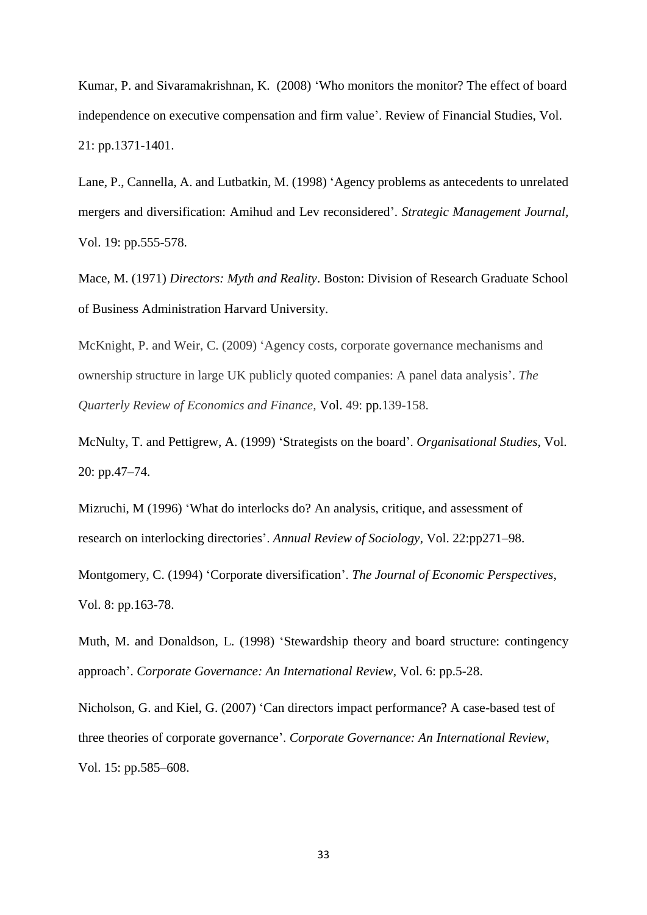Kumar, P. and Sivaramakrishnan, K. (2008) 'Who monitors the monitor? The effect of board independence on executive compensation and firm value'. Review of Financial Studies, Vol. 21: pp.1371-1401.

Lane, P., Cannella, A. and Lutbatkin, M. (1998) 'Agency problems as antecedents to unrelated mergers and diversification: Amihud and Lev reconsidered'. *Strategic Management Journal,*  Vol. 19: pp.555-578.

Mace, M. (1971) *Directors: Myth and Reality*. Boston: Division of Research Graduate School of Business Administration Harvard University.

McKnight, P. and Weir, C. (2009) 'Agency costs, corporate governance mechanisms and ownership structure in large UK publicly quoted companies: A panel data analysis'. *The Quarterly Review of Economics and Finance,* Vol. 49: pp.139-158.

McNulty, T. and Pettigrew, A. (1999) 'Strategists on the board'. *Organisational Studies*, Vol. 20: pp.47–74.

Mizruchi, M (1996) 'What do interlocks do? An analysis, critique, and assessment of research on interlocking directories'. *Annual Review of Sociology*, Vol. 22:pp271–98.

Montgomery, C. (1994) 'Corporate diversification'. *The Journal of Economic Perspectives*, Vol. 8: pp.163-78.

Muth, M. and Donaldson, L. (1998) 'Stewardship theory and board structure: contingency approach'. *Corporate Governance: An International Review*, Vol. 6: pp.5-28.

Nicholson, G. and Kiel, G. (2007) 'Can directors impact performance? A case-based test of three theories of corporate governance'. *Corporate Governance: An International Review*, Vol. 15: pp.585–608.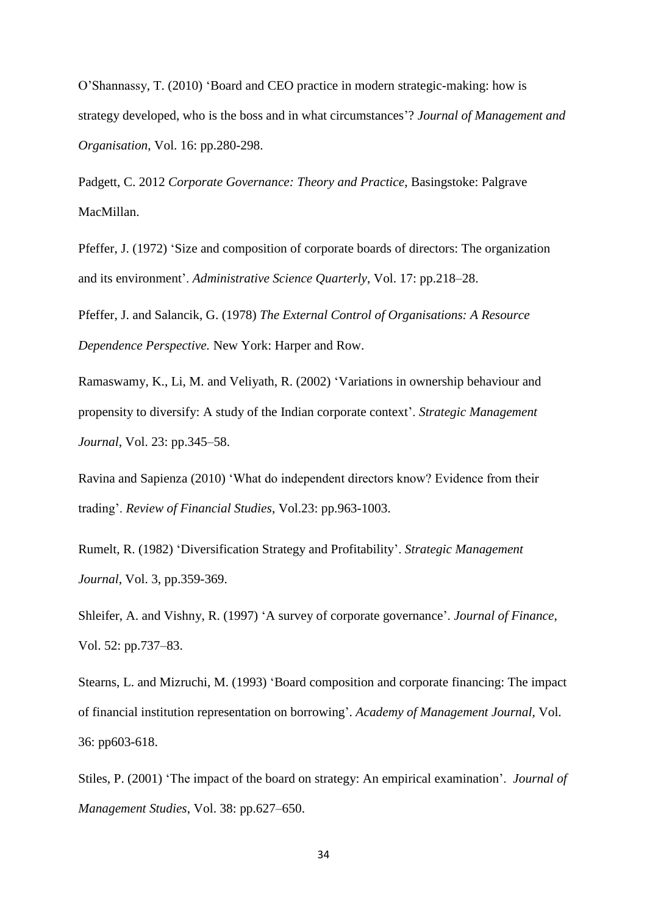O'Shannassy, T. (2010) 'Board and CEO practice in modern strategic-making: how is strategy developed, who is the boss and in what circumstances'? *Journal of Management and Organisation*, Vol. 16: pp.280-298.

Padgett, C. 2012 *Corporate Governance: Theory and Practice*, Basingstoke: Palgrave MacMillan.

Pfeffer, J. (1972) 'Size and composition of corporate boards of directors: The organization and its environment'. *Administrative Science Quarterly*, Vol. 17: pp.218–28.

Pfeffer, J. and Salancik, G. (1978) *The External Control of Organisations: A Resource Dependence Perspective.* New York: Harper and Row.

Ramaswamy, K., Li, M. and Veliyath, R. (2002) 'Variations in ownership behaviour and propensity to diversify: A study of the Indian corporate context'. *Strategic Management Journal*, Vol. 23: pp.345–58.

Ravina and Sapienza (2010) 'What do independent directors know? Evidence from their trading'. *Review of Financial Studies*, Vol.23: pp.963-1003.

Rumelt, R. (1982) 'Diversification Strategy and Profitability'. *Strategic Management Journal*, Vol. 3, pp.359-369.

Shleifer, A. and Vishny, R. (1997) 'A survey of corporate governance'. *Journal of Finance*, Vol. 52: pp.737–83.

Stearns, L. and Mizruchi, M. (1993) 'Board composition and corporate financing: The impact of financial institution representation on borrowing'. *Academy of Management Journal,* Vol. 36: pp603-618.

Stiles, P. (2001) 'The impact of the board on strategy: An empirical examination'. *Journal of Management Studies*, Vol. 38: pp.627–650.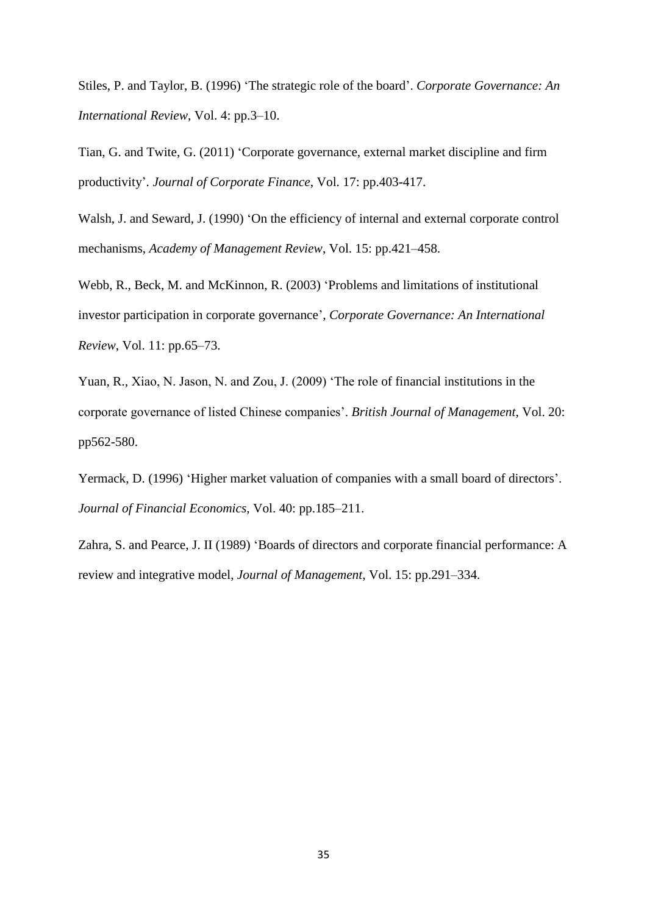Stiles, P. and Taylor, B. (1996) 'The strategic role of the board'. *Corporate Governance: An International Review*, Vol. 4: pp.3–10.

Tian, G. and Twite, G. (2011) 'Corporate governance, external market discipline and firm productivity'. *Journal of Corporate Finance*, Vol. 17: pp.403-417.

Walsh, J. and Seward, J. (1990) 'On the efficiency of internal and external corporate control mechanisms, *Academy of Management Review*, Vol. 15: pp.421–458.

Webb, R., Beck, M. and McKinnon, R. (2003) 'Problems and limitations of institutional investor participation in corporate governance', *Corporate Governance: An International Review*, Vol. 11: pp.65–73.

Yuan, R., Xiao, N. Jason, N. and Zou, J. (2009) 'The role of financial institutions in the corporate governance of listed Chinese companies'. *British Journal of Management*, Vol. 20: pp562-580.

Yermack, D. (1996) 'Higher market valuation of companies with a small board of directors'. *Journal of Financial Economics*, Vol. 40: pp.185–211.

Zahra, S. and Pearce, J. II (1989) 'Boards of directors and corporate financial performance: A review and integrative model, *Journal of Management*, Vol. 15: pp.291–334.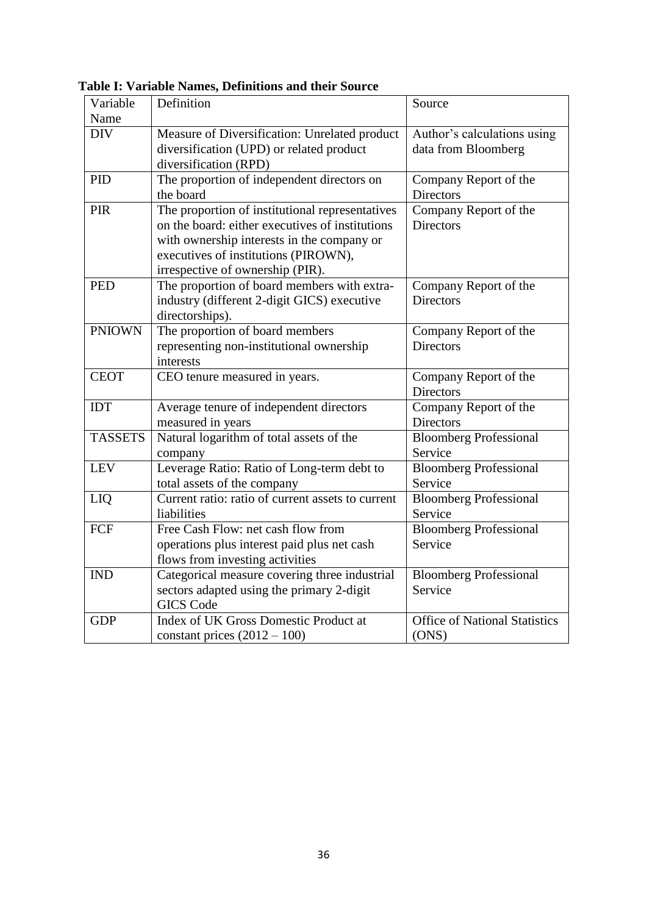| Variable       | Definition                                        | Source                               |
|----------------|---------------------------------------------------|--------------------------------------|
| Name           |                                                   |                                      |
| <b>DIV</b>     | Measure of Diversification: Unrelated product     | Author's calculations using          |
|                | diversification (UPD) or related product          | data from Bloomberg                  |
|                | diversification (RPD)                             |                                      |
| <b>PID</b>     | The proportion of independent directors on        | Company Report of the                |
|                | the board                                         | <b>Directors</b>                     |
| PIR            | The proportion of institutional representatives   | Company Report of the                |
|                | on the board: either executives of institutions   | <b>Directors</b>                     |
|                | with ownership interests in the company or        |                                      |
|                | executives of institutions (PIROWN),              |                                      |
|                | irrespective of ownership (PIR).                  |                                      |
| <b>PED</b>     | The proportion of board members with extra-       | Company Report of the                |
|                | industry (different 2-digit GICS) executive       | <b>Directors</b>                     |
|                | directorships).                                   |                                      |
| <b>PNIOWN</b>  | The proportion of board members                   | Company Report of the                |
|                | representing non-institutional ownership          | <b>Directors</b>                     |
|                | interests                                         |                                      |
| <b>CEOT</b>    | CEO tenure measured in years.                     | Company Report of the                |
|                |                                                   | <b>Directors</b>                     |
| <b>IDT</b>     | Average tenure of independent directors           | Company Report of the                |
|                | measured in years                                 | Directors                            |
| <b>TASSETS</b> | Natural logarithm of total assets of the          | <b>Bloomberg Professional</b>        |
|                | company                                           | Service                              |
| <b>LEV</b>     | Leverage Ratio: Ratio of Long-term debt to        | <b>Bloomberg Professional</b>        |
|                | total assets of the company                       | Service                              |
| LIQ            | Current ratio: ratio of current assets to current | <b>Bloomberg Professional</b>        |
|                | liabilities                                       | Service                              |
| FCF            | Free Cash Flow: net cash flow from                | <b>Bloomberg Professional</b>        |
|                | operations plus interest paid plus net cash       | Service                              |
|                | flows from investing activities                   |                                      |
| <b>IND</b>     | Categorical measure covering three industrial     | <b>Bloomberg Professional</b>        |
|                | sectors adapted using the primary 2-digit         | Service                              |
|                | <b>GICS</b> Code                                  |                                      |
| <b>GDP</b>     | Index of UK Gross Domestic Product at             | <b>Office of National Statistics</b> |
|                | constant prices $(2012 - 100)$                    | (ONS)                                |
|                |                                                   |                                      |

**Table I: Variable Names, Definitions and their Source**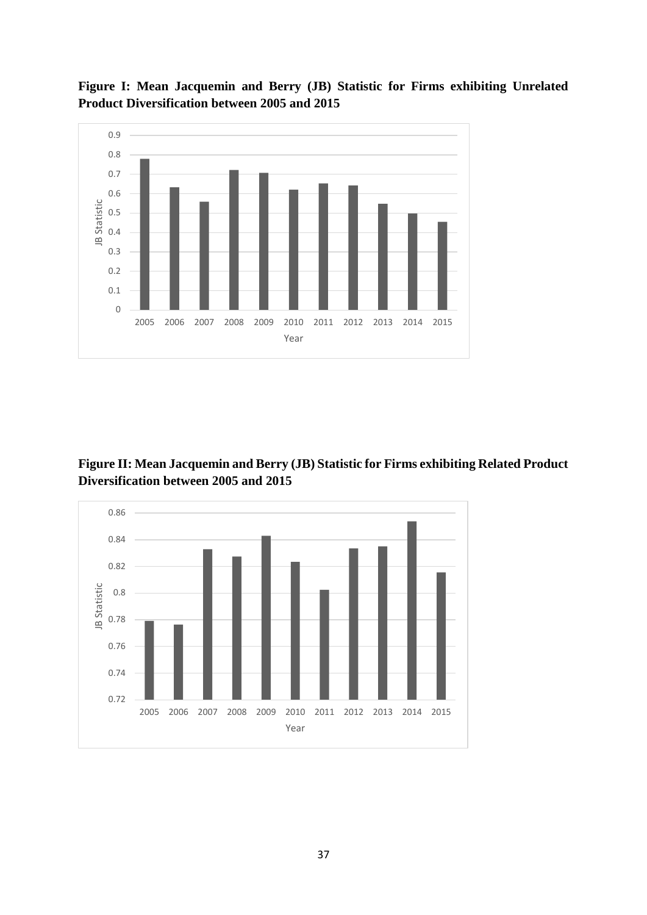



**Figure II: Mean Jacquemin and Berry (JB) Statistic for Firms exhibiting Related Product Diversification between 2005 and 2015**

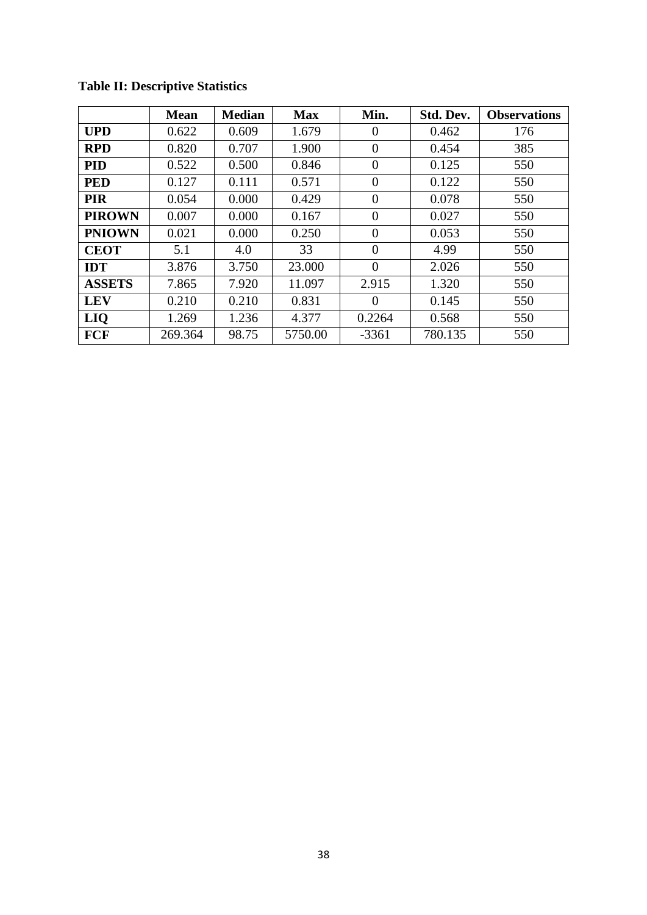|               | <b>Mean</b> | <b>Median</b> | <b>Max</b> | Min.     | Std. Dev. | <b>Observations</b> |
|---------------|-------------|---------------|------------|----------|-----------|---------------------|
| <b>UPD</b>    | 0.622       | 0.609         | 1.679      | $\theta$ | 0.462     | 176                 |
| <b>RPD</b>    | 0.820       | 0.707         | 1.900      | $\Omega$ | 0.454     | 385                 |
| <b>PID</b>    | 0.522       | 0.500         | 0.846      | $\Omega$ | 0.125     | 550                 |
| <b>PED</b>    | 0.127       | 0.111         | 0.571      | $\theta$ | 0.122     | 550                 |
| <b>PIR</b>    | 0.054       | 0.000         | 0.429      | $\theta$ | 0.078     | 550                 |
| <b>PIROWN</b> | 0.007       | 0.000         | 0.167      | $\Omega$ | 0.027     | 550                 |
| <b>PNIOWN</b> | 0.021       | 0.000         | 0.250      | $\theta$ | 0.053     | 550                 |
| <b>CEOT</b>   | 5.1         | 4.0           | 33         | $\Omega$ | 4.99      | 550                 |
| <b>IDT</b>    | 3.876       | 3.750         | 23.000     | $\Omega$ | 2.026     | 550                 |
| <b>ASSETS</b> | 7.865       | 7.920         | 11.097     | 2.915    | 1.320     | 550                 |
| <b>LEV</b>    | 0.210       | 0.210         | 0.831      | $\theta$ | 0.145     | 550                 |
| LIQ           | 1.269       | 1.236         | 4.377      | 0.2264   | 0.568     | 550                 |
| <b>FCF</b>    | 269.364     | 98.75         | 5750.00    | $-3361$  | 780.135   | 550                 |

# **Table II: Descriptive Statistics**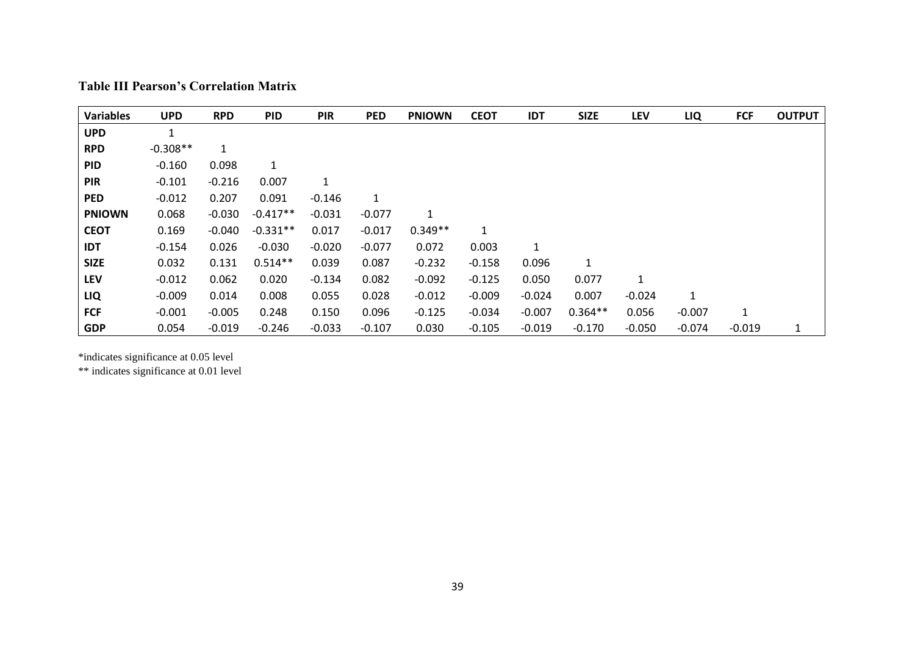| <b>Variables</b> | <b>UPD</b>   | <b>RPD</b>   | <b>PID</b>   | <b>PIR</b> | <b>PED</b> | <b>PNIOWN</b> | <b>CEOT</b> | <b>IDT</b>   | <b>SIZE</b> | <b>LEV</b> | LIQ          | <b>FCF</b> | <b>OUTPUT</b> |
|------------------|--------------|--------------|--------------|------------|------------|---------------|-------------|--------------|-------------|------------|--------------|------------|---------------|
| <b>UPD</b>       | $\mathbf{1}$ |              |              |            |            |               |             |              |             |            |              |            |               |
| <b>RPD</b>       | $-0.308**$   | $\mathbf{1}$ |              |            |            |               |             |              |             |            |              |            |               |
| <b>PID</b>       | $-0.160$     | 0.098        | $\mathbf{1}$ |            |            |               |             |              |             |            |              |            |               |
| <b>PIR</b>       | $-0.101$     | $-0.216$     | 0.007        | 1          |            |               |             |              |             |            |              |            |               |
| <b>PED</b>       | $-0.012$     | 0.207        | 0.091        | $-0.146$   | 1          |               |             |              |             |            |              |            |               |
| <b>PNIOWN</b>    | 0.068        | $-0.030$     | $-0.417**$   | $-0.031$   | $-0.077$   | 1             |             |              |             |            |              |            |               |
| <b>CEOT</b>      | 0.169        | $-0.040$     | $-0.331**$   | 0.017      | $-0.017$   | $0.349**$     | 1           |              |             |            |              |            |               |
| <b>IDT</b>       | $-0.154$     | 0.026        | $-0.030$     | $-0.020$   | $-0.077$   | 0.072         | 0.003       | $\mathbf{1}$ |             |            |              |            |               |
| <b>SIZE</b>      | 0.032        | 0.131        | $0.514**$    | 0.039      | 0.087      | $-0.232$      | $-0.158$    | 0.096        | 1           |            |              |            |               |
| <b>LEV</b>       | $-0.012$     | 0.062        | 0.020        | $-0.134$   | 0.082      | $-0.092$      | $-0.125$    | 0.050        | 0.077       | 1          |              |            |               |
| LIQ              | $-0.009$     | 0.014        | 0.008        | 0.055      | 0.028      | $-0.012$      | $-0.009$    | $-0.024$     | 0.007       | $-0.024$   | $\mathbf{1}$ |            |               |
| <b>FCF</b>       | $-0.001$     | $-0.005$     | 0.248        | 0.150      | 0.096      | $-0.125$      | $-0.034$    | $-0.007$     | $0.364**$   | 0.056      | $-0.007$     | 1          |               |
| <b>GDP</b>       | 0.054        | $-0.019$     | $-0.246$     | $-0.033$   | $-0.107$   | 0.030         | $-0.105$    | $-0.019$     | $-0.170$    | $-0.050$   | $-0.074$     | $-0.019$   | 1             |

\*indicates significance at 0.05 level

\*\* indicates significance at 0.01 level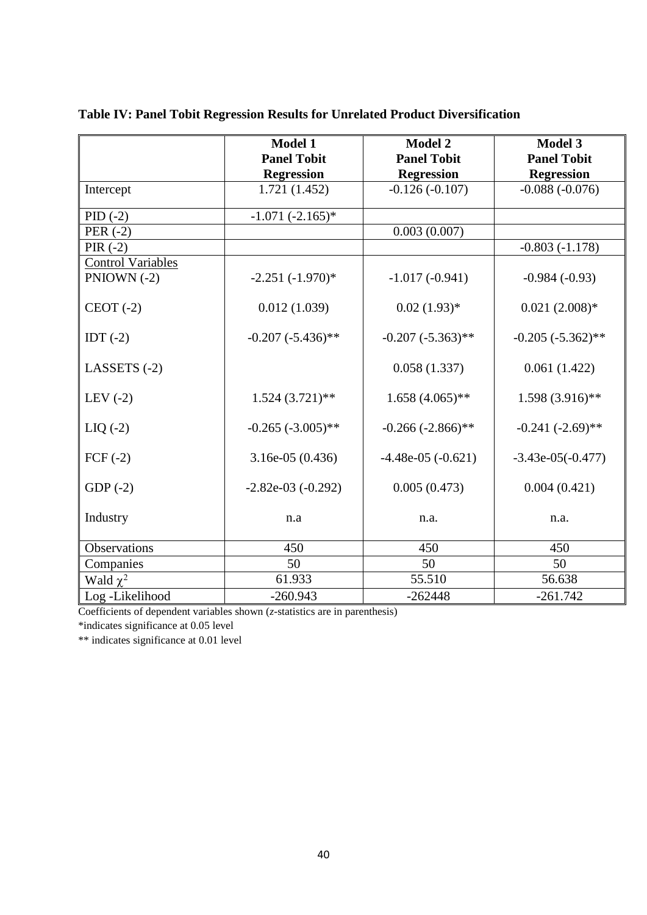|                          | <b>Model 1</b>         | <b>Model 2</b>         | <b>Model 3</b>       |
|--------------------------|------------------------|------------------------|----------------------|
|                          | <b>Panel Tobit</b>     | <b>Panel Tobit</b>     | <b>Panel Tobit</b>   |
|                          | <b>Regression</b>      | <b>Regression</b>      | <b>Regression</b>    |
| Intercept                | 1.721 (1.452)          | $-0.126(-0.107)$       | $-0.088(-0.076)$     |
| $PID (-2)$               | $-1.071(-2.165)*$      |                        |                      |
| PER $(-2)$               |                        | 0.003(0.007)           |                      |
| PIR $(-2)$               |                        |                        | $-0.803(-1.178)$     |
| <b>Control Variables</b> |                        |                        |                      |
| PNIOWN $(-2)$            | $-2.251(-1.970)*$      | $-1.017(-0.941)$       | $-0.984(-0.93)$      |
| $CEOT(-2)$               | 0.012(1.039)           | $0.02(1.93)*$          | $0.021(2.008)*$      |
| IDT $(-2)$               | $-0.207 (-5.436)$ **   | $-0.207 (-5.363)$ **   | $-0.205 (-5.362)$ ** |
| LASSETS $(-2)$           |                        | 0.058(1.337)           | 0.061(1.422)         |
| LEV $(-2)$               | $1.524(3.721)$ **      | $1.658(4.065)$ **      | $1.598(3.916)$ **    |
| $LIQ(-2)$                | $-0.265 (-3.005)$ **   | $-0.266(-2.866)$ **    | $-0.241 (-2.69)$ **  |
| $FCF(-2)$                | $3.16e-05(0.436)$      | $-4.48e-05$ $(-0.621)$ | $-3.43e-05(-0.477)$  |
| $GDP(-2)$                | $-2.82e-03$ $(-0.292)$ | 0.005(0.473)           | 0.004(0.421)         |
| Industry                 | n.a                    | n.a.                   | n.a.                 |
| <b>Observations</b>      | 450                    | 450                    | 450                  |
| Companies                | 50                     | 50                     | 50                   |
| Wald $\chi^2$            | 61.933                 | 55.510                 | 56.638               |
| Log-Likelihood           | $-260.943$             | $-262448$              | $-261.742$           |

| Table IV: Panel Tobit Regression Results for Unrelated Product Diversification |  |  |  |
|--------------------------------------------------------------------------------|--|--|--|
|                                                                                |  |  |  |

Coefficients of dependent variables shown (*z*-statistics are in parenthesis)

\*indicates significance at 0.05 level

\*\* indicates significance at 0.01 level